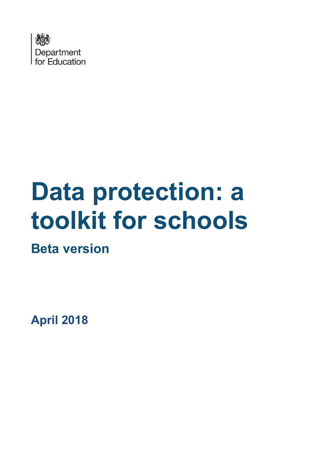

# **Data protection: a toolkit for schools**

**Beta version**

**April 2018**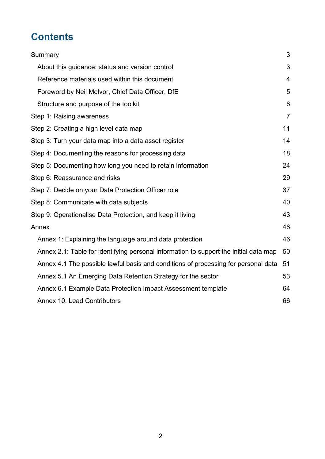# **Contents**

| Summary                                                                               | 3              |
|---------------------------------------------------------------------------------------|----------------|
| About this guidance: status and version control                                       | 3              |
| Reference materials used within this document                                         | 4              |
| Foreword by Neil McIvor, Chief Data Officer, DfE                                      | 5              |
| Structure and purpose of the toolkit                                                  | 6              |
| Step 1: Raising awareness                                                             | $\overline{7}$ |
| Step 2: Creating a high level data map                                                | 11             |
| Step 3: Turn your data map into a data asset register                                 | 14             |
| Step 4: Documenting the reasons for processing data                                   | 18             |
| Step 5: Documenting how long you need to retain information                           | 24             |
| Step 6: Reassurance and risks                                                         | 29             |
| Step 7: Decide on your Data Protection Officer role                                   | 37             |
| Step 8: Communicate with data subjects                                                | 40             |
| Step 9: Operationalise Data Protection, and keep it living                            | 43             |
| Annex                                                                                 | 46             |
| Annex 1: Explaining the language around data protection                               | 46             |
| Annex 2.1: Table for identifying personal information to support the initial data map | 50             |
| Annex 4.1 The possible lawful basis and conditions of processing for personal data    | 51             |
| Annex 5.1 An Emerging Data Retention Strategy for the sector                          | 53             |
| Annex 6.1 Example Data Protection Impact Assessment template                          | 64             |
| <b>Annex 10. Lead Contributors</b>                                                    | 66             |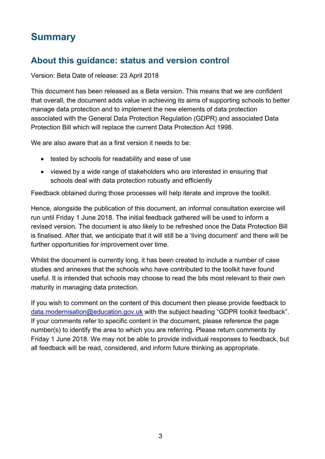# <span id="page-2-0"></span>**Summary**

# <span id="page-2-1"></span>**About this guidance: status and version control**

Version: Beta Date of release: 23 April 2018

This document has been released as a Beta version. This means that we are confident that overall, the document adds value in achieving its aims of supporting schools to better manage data protection and to implement the new elements of data protection associated with the General Data Protection Regulation (GDPR) and associated Data Protection Bill which will replace the current Data Protection Act 1998.

We are also aware that as a first version it needs to be:

- tested by schools for readability and ease of use
- viewed by a wide range of stakeholders who are interested in ensuring that schools deal with data protection robustly and efficiently

Feedback obtained during those processes will help iterate and improve the toolkit.

Hence, alongside the publication of this document, an informal consultation exercise will run until Friday 1 June 2018. The initial feedback gathered will be used to inform a revised version. The document is also likely to be refreshed once the Data Protection Bill is finalised. After that, we anticipate that it will still be a 'living document' and there will be further opportunities for improvement over time.

Whilst the document is currently long, it has been created to include a number of case studies and annexes that the schools who have contributed to the toolkit have found useful. It is intended that schools may choose to read the bits most relevant to their own maturity in managing data protection.

If you wish to comment on the content of this document then please provide feedback to [data.modernisation@education.gov.uk](mailto:data.modernisation@education.gov.uk) with the subject heading "GDPR toolkit feedback". If your comments refer to specific content in the document, please reference the page number(s) to identify the area to which you are referring. Please return comments by Friday 1 June 2018. We may not be able to provide individual responses to feedback, but all feedback will be read, considered, and inform future thinking as appropriate.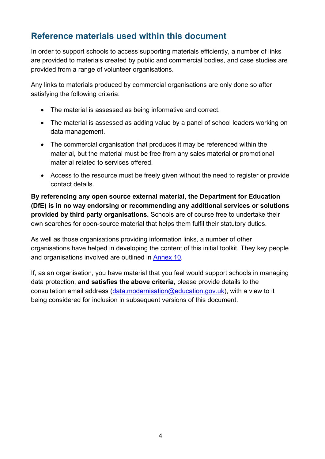## <span id="page-3-0"></span>**Reference materials used within this document**

In order to support schools to access supporting materials efficiently, a number of links are provided to materials created by public and commercial bodies, and case studies are provided from a range of volunteer organisations.

Any links to materials produced by commercial organisations are only done so after satisfying the following criteria:

- The material is assessed as being informative and correct.
- The material is assessed as adding value by a panel of school leaders working on data management.
- The commercial organisation that produces it may be referenced within the material, but the material must be free from any sales material or promotional material related to services offered.
- Access to the resource must be freely given without the need to register or provide contact details.

**By referencing any open source external material, the Department for Education (DfE) is in no way endorsing or recommending any additional services or solutions provided by third party organisations.** Schools are of course free to undertake their own searches for open-source material that helps them fulfil their statutory duties.

As well as those organisations providing information links, a number of other organisations have helped in developing the content of this initial toolkit. They key people and organisations involved are outlined in [Annex 10.](#page-65-0)

If, as an organisation, you have material that you feel would support schools in managing data protection, **and satisfies the above criteria**, please provide details to the consultation email address [\(data.modernisation@education.gov.uk\)](https://educationgovuk-my.sharepoint.com/personal/juliet_blomfield_education_gov_uk/Documents/Documents/data.modernisation@education.gov.uk), with a view to it being considered for inclusion in subsequent versions of this document.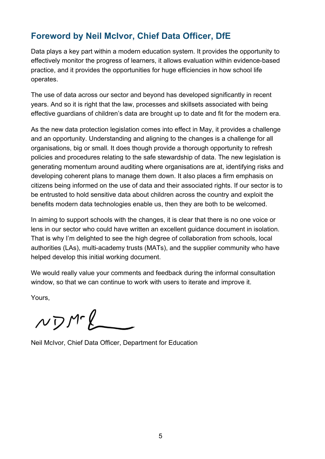# <span id="page-4-0"></span>**Foreword by Neil McIvor, Chief Data Officer, DfE**

Data plays a key part within a modern education system. It provides the opportunity to effectively monitor the progress of learners, it allows evaluation within evidence-based practice, and it provides the opportunities for huge efficiencies in how school life operates.

The use of data across our sector and beyond has developed significantly in recent years. And so it is right that the law, processes and skillsets associated with being effective guardians of children's data are brought up to date and fit for the modern era.

As the new data protection legislation comes into effect in May, it provides a challenge and an opportunity. Understanding and aligning to the changes is a challenge for all organisations, big or small. It does though provide a thorough opportunity to refresh policies and procedures relating to the safe stewardship of data. The new legislation is generating momentum around auditing where organisations are at, identifying risks and developing coherent plans to manage them down. It also places a firm emphasis on citizens being informed on the use of data and their associated rights. If our sector is to be entrusted to hold sensitive data about children across the country and exploit the benefits modern data technologies enable us, then they are both to be welcomed.

In aiming to support schools with the changes, it is clear that there is no one voice or lens in our sector who could have written an excellent guidance document in isolation. That is why I'm delighted to see the high degree of collaboration from schools, local authorities (LAs), multi-academy trusts (MATs), and the supplier community who have helped develop this initial working document.

We would really value your comments and feedback during the informal consultation window, so that we can continue to work with users to iterate and improve it.

Yours,

 $NDMC$ 

Neil McIvor, Chief Data Officer, Department for Education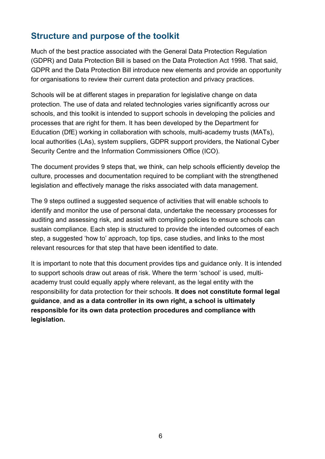# <span id="page-5-0"></span>**Structure and purpose of the toolkit**

Much of the best practice associated with the General Data Protection Regulation (GDPR) and Data Protection Bill is based on the Data Protection Act 1998. That said, GDPR and the Data Protection Bill introduce new elements and provide an opportunity for organisations to review their current data protection and privacy practices.

Schools will be at different stages in preparation for legislative change on data protection. The use of data and related technologies varies significantly across our schools, and this toolkit is intended to support schools in developing the policies and processes that are right for them. It has been developed by the Department for Education (DfE) working in collaboration with schools, multi-academy trusts (MATs), local authorities (LAs), system suppliers, GDPR support providers, the National Cyber Security Centre and the Information Commissioners Office (ICO).

The document provides 9 steps that, we think, can help schools efficiently develop the culture, processes and documentation required to be compliant with the strengthened legislation and effectively manage the risks associated with data management.

The 9 steps outlined a suggested sequence of activities that will enable schools to identify and monitor the use of personal data, undertake the necessary processes for auditing and assessing risk, and assist with compiling policies to ensure schools can sustain compliance. Each step is structured to provide the intended outcomes of each step, a suggested 'how to' approach, top tips, case studies, and links to the most relevant resources for that step that have been identified to date.

It is important to note that this document provides tips and guidance only. It is intended to support schools draw out areas of risk. Where the term 'school' is used, multiacademy trust could equally apply where relevant, as the legal entity with the responsibility for data protection for their schools. **It does not constitute formal legal guidance**, **and as a data controller in its own right, a school is ultimately responsible for its own data protection procedures and compliance with legislation.**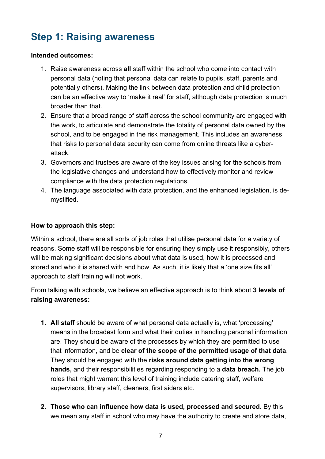# <span id="page-6-0"></span>**Step 1: Raising awareness**

#### **Intended outcomes:**

- 1. Raise awareness across **all** staff within the school who come into contact with personal data (noting that personal data can relate to pupils, staff, parents and potentially others). Making the link between data protection and child protection can be an effective way to 'make it real' for staff, although data protection is much broader than that.
- 2. Ensure that a broad range of staff across the school community are engaged with the work, to articulate and demonstrate the totality of personal data owned by the school, and to be engaged in the risk management. This includes an awareness that risks to personal data security can come from online threats like a cyberattack.
- 3. Governors and trustees are aware of the key issues arising for the schools from the legislative changes and understand how to effectively monitor and review compliance with the data protection regulations.
- 4. The language associated with data protection, and the enhanced legislation, is demystified.

#### **How to approach this step:**

Within a school, there are all sorts of job roles that utilise personal data for a variety of reasons. Some staff will be responsible for ensuring they simply use it responsibly, others will be making significant decisions about what data is used, how it is processed and stored and who it is shared with and how. As such, it is likely that a 'one size fits all' approach to staff training will not work.

From talking with schools, we believe an effective approach is to think about **3 levels of raising awareness:**

- **1. All staff** should be aware of what personal data actually is, what 'processing' means in the broadest form and what their duties in handling personal information are. They should be aware of the processes by which they are permitted to use that information, and be **clear of the scope of the permitted usage of that data**. They should be engaged with the **risks around data getting into the wrong hands,** and their responsibilities regarding responding to a **data breach.** The job roles that might warrant this level of training include catering staff, welfare supervisors, library staff, cleaners, first aiders etc.
- **2. Those who can influence how data is used, processed and secured.** By this we mean any staff in school who may have the authority to create and store data,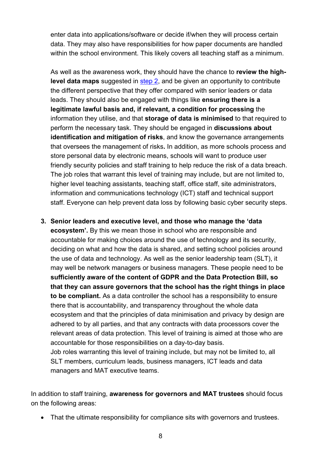enter data into applications/software or decide if/when they will process certain data. They may also have responsibilities for how paper documents are handled within the school environment. This likely covers all teaching staff as a minimum.

As well as the awareness work, they should have the chance to **review the highlevel data maps** suggested in [step 2,](#page-10-0) and be given an opportunity to contribute the different perspective that they offer compared with senior leaders or data leads. They should also be engaged with things like **ensuring there is a legitimate lawful basis and, if relevant, a condition for processing** the information they utilise, and that **storage of data is minimised** to that required to perform the necessary task. They should be engaged in **discussions about identification and mitigation of risks**, and know the governance arrangements that oversees the management of risks**.** In addition, as more schools process and store personal data by electronic means, schools will want to produce user friendly security policies and staff training to help reduce the risk of a data breach. The job roles that warrant this level of training may include, but are not limited to, higher level teaching assistants, teaching staff, office staff, site administrators, information and communications technology (ICT) staff and technical support staff. Everyone can help prevent data loss by following basic cyber security steps.

**3. Senior leaders and executive level, and those who manage the 'data ecosystem'.** By this we mean those in school who are responsible and accountable for making choices around the use of technology and its security, deciding on what and how the data is shared, and setting school policies around the use of data and technology. As well as the senior leadership team (SLT), it may well be network managers or business managers. These people need to be **sufficiently aware of the content of GDPR and the Data Protection Bill, so that they can assure governors that the school has the right things in place to be compliant.** As a data controller the school has a responsibility to ensure there that is accountability, and transparency throughout the whole data ecosystem and that the principles of data minimisation and privacy by design are adhered to by all parties, and that any contracts with data processors cover the relevant areas of data protection. This level of training is aimed at those who are accountable for those responsibilities on a day-to-day basis. Job roles warranting this level of training include, but may not be limited to, all SLT members, curriculum leads, business managers, ICT leads and data managers and MAT executive teams.

In addition to staff training, **awareness for governors and MAT trustees** should focus on the following areas:

• That the ultimate responsibility for compliance sits with governors and trustees.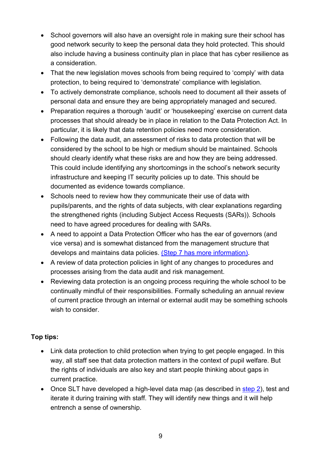- School governors will also have an oversight role in making sure their school has good network security to keep the personal data they hold protected. This should also include having a business continuity plan in place that has cyber resilience as a consideration.
- That the new legislation moves schools from being required to 'comply' with data protection, to being required to 'demonstrate' compliance with legislation.
- To actively demonstrate compliance, schools need to document all their assets of personal data and ensure they are being appropriately managed and secured.
- Preparation requires a thorough 'audit' or 'housekeeping' exercise on current data processes that should already be in place in relation to the Data Protection Act. In particular, it is likely that data retention policies need more consideration.
- Following the data audit, an assessment of risks to data protection that will be considered by the school to be high or medium should be maintained. Schools should clearly identify what these risks are and how they are being addressed. This could include identifying any shortcomings in the school's network security infrastructure and keeping IT security policies up to date. This should be documented as evidence towards compliance.
- Schools need to review how they communicate their use of data with pupils/parents, and the rights of data subjects, with clear explanations regarding the strengthened rights (including Subject Access Requests (SARs)). Schools need to have agreed procedures for dealing with SARs.
- A need to appoint a Data Protection Officer who has the ear of governors (and vice versa) and is somewhat distanced from the management structure that develops and maintains data policies. (Step 7 has [more information\).](#page-36-0)
- A review of data protection policies in light of any changes to procedures and processes arising from the data audit and risk management.
- Reviewing data protection is an ongoing process requiring the whole school to be continually mindful of their responsibilities. Formally scheduling an annual review of current practice through an internal or external audit may be something schools wish to consider.

#### **Top tips:**

- Link data protection to child protection when trying to get people engaged. In this way, all staff see that data protection matters in the context of pupil welfare. But the rights of individuals are also key and start people thinking about gaps in current practice.
- Once SLT have developed a high-level data map (as described in [step 2\)](#page-10-0), test and iterate it during training with staff. They will identify new things and it will help entrench a sense of ownership.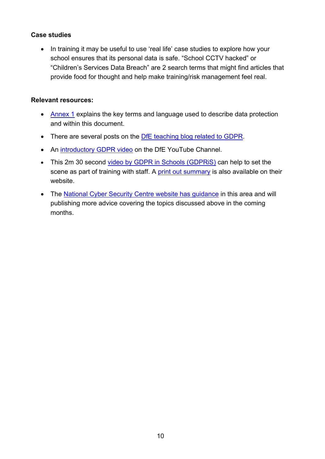#### **Case studies**

• In training it may be useful to use 'real life' case studies to explore how your school ensures that its personal data is safe. "School CCTV hacked" or "Children's Services Data Breach" are 2 search terms that might find articles that provide food for thought and help make training/risk management feel real.

#### **Relevant resources:**

- [Annex 1](#page-45-1) explains the key terms and language used to describe data protection and within this document.
- There are several posts on the [DfE teaching blog related to GDPR.](https://teaching.blog.gov.uk/)
- An [introductory](https://www.youtube.com/watch?v=y09IHXv6u6M) GDPR video on the DfE YouTube Channel.
- This 2m 30 second video by GDPR in Schools (GDPRIS) can help to set the scene as part of training with staff. A [print out summary](https://www.gdpr.school/free-resources/) is also available on their website.
- The National Cyber Security Centre website has quidance in this area and will publishing more advice covering the topics discussed above in the coming months.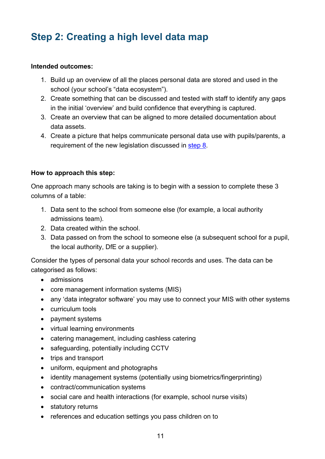# <span id="page-10-0"></span>**Step 2: Creating a high level data map**

#### **Intended outcomes:**

- 1. Build up an overview of all the places personal data are stored and used in the school (your school's "data ecosystem").
- 2. Create something that can be discussed and tested with staff to identify any gaps in the initial 'overview' and build confidence that everything is captured.
- 3. Create an overview that can be aligned to more detailed documentation about data assets.
- 4. Create a picture that helps communicate personal data use with pupils/parents, a requirement of the new legislation discussed in [step 8.](#page-39-0)

#### **How to approach this step:**

One approach many schools are taking is to begin with a session to complete these 3 columns of a table:

- 1. Data sent to the school from someone else (for example, a local authority admissions team).
- 2. Data created within the school.
- 3. Data passed on from the school to someone else (a subsequent school for a pupil, the local authority, DfE or a supplier).

Consider the types of personal data your school records and uses. The data can be categorised as follows:

- admissions
- core management information systems (MIS)
- any 'data integrator software' you may use to connect your MIS with other systems
- curriculum tools
- payment systems
- virtual learning environments
- catering management, including cashless catering
- safeguarding, potentially including CCTV
- trips and transport
- uniform, equipment and photographs
- identity management systems (potentially using biometrics/fingerprinting)
- contract/communication systems
- social care and health interactions (for example, school nurse visits)
- statutory returns
- references and education settings you pass children on to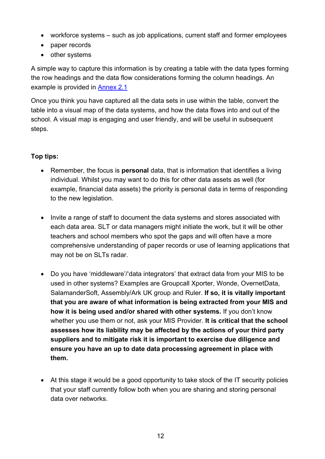- workforce systems such as job applications, current staff and former employees
- paper records
- other systems

A simple way to capture this information is by creating a table with the data types forming the row headings and the data flow considerations forming the column headings. An example is provided in [Annex 2.1](#page-49-0)

Once you think you have captured all the data sets in use within the table, convert the table into a visual map of the data systems, and how the data flows into and out of the school. A visual map is engaging and user friendly, and will be useful in subsequent steps.

#### **Top tips:**

- Remember, the focus is **personal** data, that is information that identifies a living individual. Whilst you may want to do this for other data assets as well (for example, financial data assets) the priority is personal data in terms of responding to the new legislation.
- Invite a range of staff to document the data systems and stores associated with each data area. SLT or data managers might initiate the work, but it will be other teachers and school members who spot the gaps and will often have a more comprehensive understanding of paper records or use of learning applications that may not be on SLTs radar.
- Do you have 'middleware'/'data integrators' that extract data from your MIS to be used in other systems? Examples are Groupcall Xporter, Wonde, OvernetData, SalamanderSoft, Assembly/Ark UK group and Ruler. **If so, it is vitally important that you are aware of what information is being extracted from your MIS and how it is being used and/or shared with other systems.** If you don't know whether you use them or not, ask your MIS Provider. **It is critical that the school assesses how its liability may be affected by the actions of your third party suppliers and to mitigate risk it is important to exercise due diligence and ensure you have an up to date data processing agreement in place with them.**
- At this stage it would be a good opportunity to take stock of the IT security policies that your staff currently follow both when you are sharing and storing personal data over networks.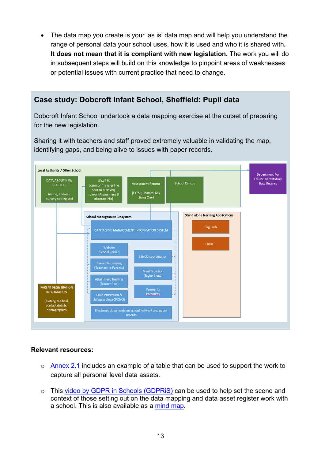• The data map you create is your 'as is' data map and will help you understand the range of personal data your school uses, how it is used and who it is shared with**. It does not mean that it is compliant with new legislation.** The work you will do in subsequent steps will build on this knowledge to pinpoint areas of weaknesses or potential issues with current practice that need to change.

## **Case study: Dobcroft Infant School, Sheffield: Pupil data**

Dobcroft Infant School undertook a data mapping exercise at the outset of preparing for the new legislation.

Sharing it with teachers and staff proved extremely valuable in validating the map, identifying gaps, and being alive to issues with paper records.



#### **Relevant resources:**

- o [Annex 2.1](#page-49-0) includes an example of a table that can be used to support the work to capture all personal level data assets.
- o This [video by GDPR in Schools \(GDPRiS\)](https://youtu.be/3acxKz9KgDI) can be used to help set the scene and context of those setting out on the data mapping and data asset register work with a school. This is also available as a mind map.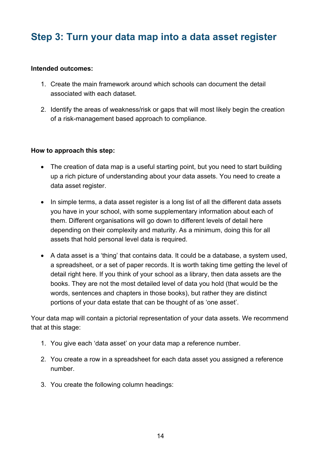# <span id="page-13-0"></span>**Step 3: Turn your data map into a data asset register**

#### **Intended outcomes:**

- 1. Create the main framework around which schools can document the detail associated with each dataset.
- 2. Identify the areas of weakness/risk or gaps that will most likely begin the creation of a risk-management based approach to compliance.

#### **How to approach this step:**

- The creation of data map is a useful starting point, but you need to start building up a rich picture of understanding about your data assets. You need to create a data asset register.
- In simple terms, a data asset register is a long list of all the different data assets you have in your school, with some supplementary information about each of them. Different organisations will go down to different levels of detail here depending on their complexity and maturity. As a minimum, doing this for all assets that hold personal level data is required.
- A data asset is a 'thing' that contains data. It could be a database, a system used, a spreadsheet, or a set of paper records. It is worth taking time getting the level of detail right here. If you think of your school as a library, then data assets are the books. They are not the most detailed level of data you hold (that would be the words, sentences and chapters in those books), but rather they are distinct portions of your data estate that can be thought of as 'one asset'.

Your data map will contain a pictorial representation of your data assets. We recommend that at this stage:

- 1. You give each 'data asset' on your data map a reference number.
- 2. You create a row in a spreadsheet for each data asset you assigned a reference number.
- 3. You create the following column headings: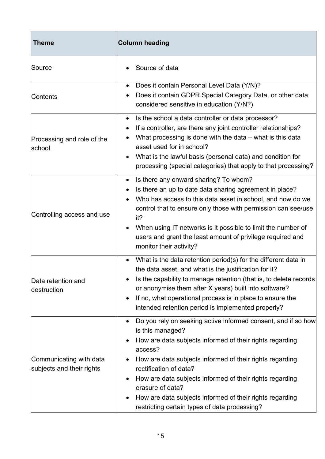| <b>Theme</b>                                         | <b>Column heading</b>                                                                                                                                                                                                                                                                                                                                                                                                                                                                                        |
|------------------------------------------------------|--------------------------------------------------------------------------------------------------------------------------------------------------------------------------------------------------------------------------------------------------------------------------------------------------------------------------------------------------------------------------------------------------------------------------------------------------------------------------------------------------------------|
| Source                                               | Source of data                                                                                                                                                                                                                                                                                                                                                                                                                                                                                               |
| Contents                                             | Does it contain Personal Level Data (Y/N)?<br>$\bullet$<br>Does it contain GDPR Special Category Data, or other data<br>$\bullet$<br>considered sensitive in education (Y/N?)                                                                                                                                                                                                                                                                                                                                |
| Processing and role of the<br>school                 | Is the school a data controller or data processor?<br>$\bullet$<br>If a controller, are there any joint controller relationships?<br>$\bullet$<br>What processing is done with the data $-$ what is this data<br>asset used for in school?<br>What is the lawful basis (personal data) and condition for<br>$\bullet$<br>processing (special categories) that apply to that processing?                                                                                                                      |
| Controlling access and use                           | Is there any onward sharing? To whom?<br>$\bullet$<br>Is there an up to date data sharing agreement in place?<br>$\bullet$<br>Who has access to this data asset in school, and how do we<br>$\bullet$<br>control that to ensure only those with permission can see/use<br>it?<br>When using IT networks is it possible to limit the number of<br>٠<br>users and grant the least amount of privilege required and<br>monitor their activity?                                                                  |
| Data retention and<br>destruction                    | What is the data retention period(s) for the different data in<br>$\bullet$<br>the data asset, and what is the justification for it?<br>Is the capability to manage retention (that is, to delete records)<br>or anonymise them after X years) built into software?<br>If no, what operational process is in place to ensure the<br>$\bullet$<br>intended retention period is implemented properly?                                                                                                          |
| Communicating with data<br>subjects and their rights | Do you rely on seeking active informed consent, and if so how<br>$\bullet$<br>is this managed?<br>How are data subjects informed of their rights regarding<br>$\bullet$<br>access?<br>How are data subjects informed of their rights regarding<br>$\bullet$<br>rectification of data?<br>How are data subjects informed of their rights regarding<br>$\bullet$<br>erasure of data?<br>How are data subjects informed of their rights regarding<br>$\bullet$<br>restricting certain types of data processing? |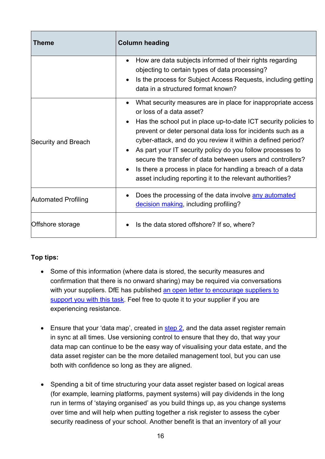| Theme                      | <b>Column heading</b>                                                                                                                                                                                                                                                                                                                                                                                                                                                                                                                             |
|----------------------------|---------------------------------------------------------------------------------------------------------------------------------------------------------------------------------------------------------------------------------------------------------------------------------------------------------------------------------------------------------------------------------------------------------------------------------------------------------------------------------------------------------------------------------------------------|
|                            | How are data subjects informed of their rights regarding<br>$\bullet$<br>objecting to certain types of data processing?<br>Is the process for Subject Access Requests, including getting<br>data in a structured format known?                                                                                                                                                                                                                                                                                                                    |
| Security and Breach        | What security measures are in place for inappropriate access<br>or loss of a data asset?<br>Has the school put in place up-to-date ICT security policies to<br>prevent or deter personal data loss for incidents such as a<br>cyber-attack, and do you review it within a defined period?<br>As part your IT security policy do you follow processes to<br>secure the transfer of data between users and controllers?<br>Is there a process in place for handling a breach of a data<br>asset including reporting it to the relevant authorities? |
| <b>Automated Profiling</b> | Does the processing of the data involve any automated<br>decision making, including profiling?                                                                                                                                                                                                                                                                                                                                                                                                                                                    |
| Offshore storage           | Is the data stored offshore? If so, where?                                                                                                                                                                                                                                                                                                                                                                                                                                                                                                        |

#### **Top tips:**

- Some of this information (where data is stored, the security measures and confirmation that there is no onward sharing) may be required via conversations with your suppliers. DfE has published [an open letter](https://www.gov.uk/government/publications/data-protection-changes-letter-to-the-supplier-community) [to encourage suppliers to](https://www.gov.uk/government/publications/data-protection-changes-letter-to-the-supplier-community)  [support you with this task.](https://www.gov.uk/government/publications/data-protection-changes-letter-to-the-supplier-community) Feel free to quote it to your supplier if you are experiencing resistance.
- Ensure that your 'data map', created in [step 2,](#page-10-0) and the data asset register remain in sync at all times. Use versioning control to ensure that they do, that way your data map can continue to be the easy way of visualising your data estate, and the data asset register can be the more detailed management tool, but you can use both with confidence so long as they are aligned.
- Spending a bit of time structuring your data asset register based on logical areas (for example, learning platforms, payment systems) will pay dividends in the long run in terms of 'staying organised' as you build things up, as you change systems over time and will help when putting together a risk register to assess the cyber security readiness of your school. Another benefit is that an inventory of all your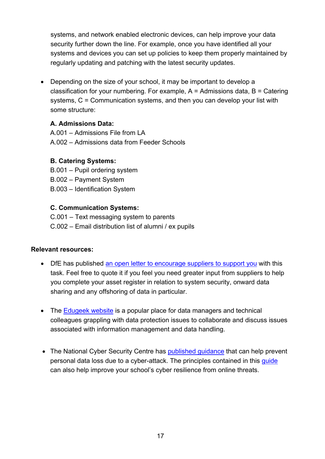systems, and network enabled electronic devices, can help improve your data security further down the line. For example, once you have identified all your systems and devices you can set up policies to keep them properly maintained by regularly updating and patching with the latest security updates.

• Depending on the size of your school, it may be important to develop a classification for your numbering. For example,  $A =$  Admissions data,  $B =$  Catering systems, C = Communication systems, and then you can develop your list with some structure:

#### **A. Admissions Data:**

A.001 – Admissions File from LA A.002 – Admissions data from Feeder Schools

#### **B. Catering Systems:**

- B.001 Pupil ordering system
- B.002 Payment System
- B.003 Identification System

#### **C. Communication Systems:**

- C.001 Text messaging system to parents
- C.002 Email distribution list of alumni / ex pupils

#### **Relevant resources:**

- DfE has published [an open letter](https://www.gov.uk/government/publications/data-protection-changes-letter-to-the-supplier-community) [to encourage suppliers to support you](https://www.gov.uk/government/publications/data-protection-changes-letter-to-the-supplier-community) with this task. Feel free to quote it if you feel you need greater input from suppliers to help you complete your asset register in relation to system security, onward data sharing and any offshoring of data in particular.
- The [Edugeek website](http://www.edugeek.net/) is a popular place for data managers and technical colleagues grappling with data protection issues to collaborate and discuss issues associated with information management and data handling.
- The National Cyber Security Centre has [published guidance](https://www.ncsc.gov.uk/guidance/10-steps-cyber-security) that can help prevent personal data loss due to a cyber-attack. The principles contained in this [guide](https://www.ncsc.gov.uk/smallbusiness) can also help improve your school's cyber resilience from online threats.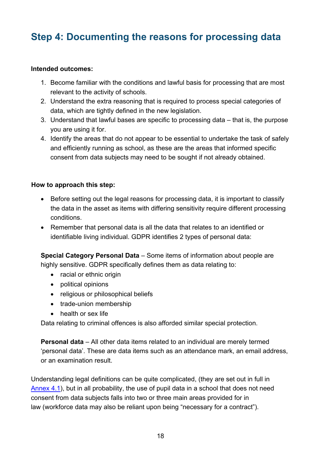# <span id="page-17-1"></span><span id="page-17-0"></span>**Step 4: Documenting the reasons for processing data**

#### **Intended outcomes:**

- 1. Become familiar with the conditions and lawful basis for processing that are most relevant to the activity of schools.
- 2. Understand the extra reasoning that is required to process special categories of data, which are tightly defined in the new legislation.
- 3. Understand that lawful bases are specific to processing data that is, the purpose you are using it for.
- 4. Identify the areas that do not appear to be essential to undertake the task of safely and efficiently running as school, as these are the areas that informed specific consent from data subjects may need to be sought if not already obtained.

#### **How to approach this step:**

- Before setting out the legal reasons for processing data, it is important to classify the data in the asset as items with differing sensitivity require different processing conditions.
- Remember that personal data is all the data that relates to an identified or identifiable living individual. GDPR identifies 2 types of personal data:

**Special Category Personal Data** – Some items of information about people are highly sensitive. GDPR specifically defines them as data relating to:

- racial or ethnic origin
- political opinions
- religious or philosophical beliefs
- trade-union membership
- health or sex life

Data relating to criminal offences is also afforded similar special protection.

**Personal data** – All other data items related to an individual are merely termed 'personal data'. These are data items such as an attendance mark, an email address, or an examination result.

Understanding legal definitions can be quite complicated, (they are set out in full in [Annex 4.1\)](#page-50-0), but in all probability, the use of pupil data in a school that does not need consent from data subjects falls into two or three main areas provided for in law (workforce data may also be reliant upon being "necessary for a contract").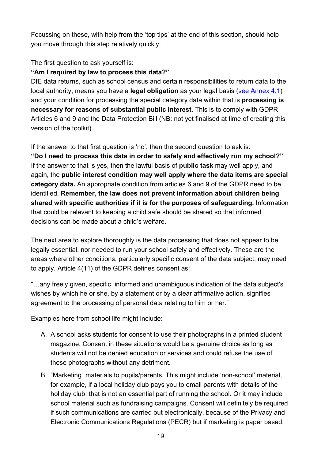Focussing on these, with help from the 'top tips' at the end of this section, should help you move through this step relatively quickly.

The first question to ask yourself is:

#### **"Am I required by law to process this data?"**

DfE data returns, such as school census and certain responsibilities to return data to the local authority, means you have a **legal obligation** as your legal basis [\(see Annex 4.1\)](#page-50-0) and your condition for processing the special category data within that is **processing is necessary for reasons of substantial public interest**. This is to comply with GDPR Articles 6 and 9 and the Data Protection Bill (NB: not yet finalised at time of creating this version of the toolkit).

If the answer to that first question is 'no', then the second question to ask is: **"Do I need to process this data in order to safely and effectively run my school?"** If the answer to that is yes, then the lawful basis of **public task** may well apply, and again, the **public interest condition may well apply where the data items are special category data.** An appropriate condition from articles 6 and 9 of the GDPR need to be identified. **Remember, the law does not prevent information about children being shared with specific authorities if it is for the purposes of safeguarding.** Information that could be relevant to keeping a child safe should be shared so that informed decisions can be made about a child's welfare.

The next area to explore thoroughly is the data processing that does not appear to be legally essential, nor needed to run your school safely and effectively. These are the areas where other conditions, particularly specific consent of the data subject, may need to apply. Article 4(11) of the GDPR defines consent as:

"…any freely given, specific, informed and unambiguous indication of the data subject's wishes by which he or she, by a statement or by a clear affirmative action, signifies agreement to the processing of personal data relating to him or her."

Examples here from school life might include:

- A. A school asks students for consent to use their photographs in a printed student magazine. Consent in these situations would be a genuine choice as long as students will not be denied education or services and could refuse the use of these photographs without any detriment.
- B. "Marketing" materials to pupils/parents. This might include 'non-school' material, for example, if a local holiday club pays you to email parents with details of the holiday club, that is not an essential part of running the school. Or it may include school material such as fundraising campaigns. Consent will definitely be required if such communications are carried out electronically, because of the Privacy and Electronic Communications Regulations (PECR) but if marketing is paper based,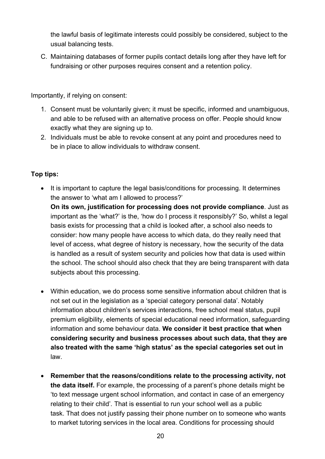the lawful basis of legitimate interests could possibly be considered, subject to the usual balancing tests.

C. Maintaining databases of former pupils contact details long after they have left for fundraising or other purposes requires consent and a retention policy.

Importantly, if relying on consent:

- 1. Consent must be voluntarily given; it must be specific, informed and unambiguous, and able to be refused with an alternative process on offer. People should know exactly what they are signing up to.
- 2. Individuals must be able to revoke consent at any point and procedures need to be in place to allow individuals to withdraw consent.

#### **Top tips:**

• It is important to capture the legal basis/conditions for processing. It determines the answer to 'what am I allowed to process?'

**On its own, justification for processing does not provide compliance**. Just as important as the 'what?' is the, 'how do I process it responsibly?' So, whilst a legal basis exists for processing that a child is looked after, a school also needs to consider: how many people have access to which data, do they really need that level of access, what degree of history is necessary, how the security of the data is handled as a result of system security and policies how that data is used within the school. The school should also check that they are being transparent with data subjects about this processing.

- Within education, we do process some sensitive information about children that is not set out in the legislation as a 'special category personal data'. Notably information about children's services interactions, free school meal status, pupil premium eligibility, elements of special educational need information, safeguarding information and some behaviour data. **We consider it best practice that when considering security and business processes about such data, that they are also treated with the same 'high status' as the special categories set out in**  law.
- **Remember that the reasons/conditions relate to the processing activity, not the data itself.** For example, the processing of a parent's phone details might be 'to text message urgent school information, and contact in case of an emergency relating to their child'*.* That is essential to run your school well as a public task. That does not justify passing their phone number on to someone who wants to market tutoring services in the local area. Conditions for processing should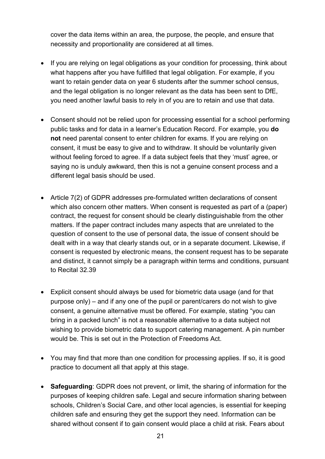cover the data items within an area, the purpose, the people, and ensure that necessity and proportionality are considered at all times.

- If you are relying on legal obligations as your condition for processing, think about what happens after you have fulfilled that legal obligation. For example, if you want to retain gender data on year 6 students after the summer school census, and the legal obligation is no longer relevant as the data has been sent to DfE, you need another lawful basis to rely in of you are to retain and use that data.
- Consent should not be relied upon for processing essential for a school performing public tasks and for data in a learner's Education Record. For example, you **do not** need parental consent to enter children for exams. If you are relying on consent, it must be easy to give and to withdraw. It should be voluntarily given without feeling forced to agree. If a data subject feels that they 'must' agree, or saying no is unduly awkward, then this is not a genuine consent process and a different legal basis should be used.
- Article 7(2) of GDPR addresses pre-formulated written declarations of consent which also concern other matters. When consent is requested as part of a (paper) contract, the request for consent should be clearly distinguishable from the other matters. If the paper contract includes many aspects that are unrelated to the question of consent to the use of personal data, the issue of consent should be dealt with in a way that clearly stands out, or in a separate document. Likewise, if consent is requested by electronic means, the consent request has to be separate and distinct, it cannot simply be a paragraph within terms and conditions, pursuant to Recital 32.39
- Explicit consent should always be used for biometric data usage (and for that purpose only) – and if any one of the pupil or parent/carers do not wish to give consent, a genuine alternative must be offered. For example, stating "you can bring in a packed lunch" is not a reasonable alternative to a data subject not wishing to provide biometric data to support catering management. A pin number would be. This is set out in the Protection of Freedoms Act.
- You may find that more than one condition for processing applies. If so, it is good practice to document all that apply at this stage.
- **Safeguarding**: GDPR does not prevent, or limit, the sharing of information for the purposes of keeping children safe. Legal and secure information sharing between schools, Children's Social Care, and other local agencies, is essential for keeping children safe and ensuring they get the support they need. Information can be shared without consent if to gain consent would place a child at risk. Fears about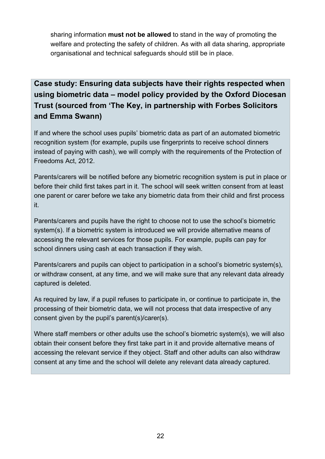sharing information **must not be allowed** to stand in the way of promoting the welfare and protecting the safety of children. As with all data sharing, appropriate organisational and technical safeguards should still be in place.

**Case study: Ensuring data subjects have their rights respected when using biometric data – model policy provided by the Oxford Diocesan Trust (sourced from 'The Key, in partnership with Forbes Solicitors and Emma Swann)**

If and where the school uses pupils' biometric data as part of an automated biometric recognition system (for example, pupils use fingerprints to receive school dinners instead of paying with cash), we will comply with the requirements of the Protection of Freedoms Act, 2012.

Parents/carers will be notified before any biometric recognition system is put in place or before their child first takes part in it. The school will seek written consent from at least one parent or carer before we take any biometric data from their child and first process it.

Parents/carers and pupils have the right to choose not to use the school's biometric system(s). If a biometric system is introduced we will provide alternative means of accessing the relevant services for those pupils. For example, pupils can pay for school dinners using cash at each transaction if they wish.

Parents/carers and pupils can object to participation in a school's biometric system(s), or withdraw consent, at any time, and we will make sure that any relevant data already captured is deleted.

As required by law, if a pupil refuses to participate in, or continue to participate in, the processing of their biometric data, we will not process that data irrespective of any consent given by the pupil's parent(s)/carer(s).

Where staff members or other adults use the school's biometric system(s), we will also obtain their consent before they first take part in it and provide alternative means of accessing the relevant service if they object. Staff and other adults can also withdraw consent at any time and the school will delete any relevant data already captured.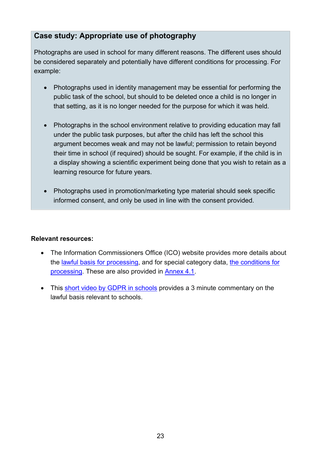## **Case study: Appropriate use of photography**

Photographs are used in school for many different reasons. The different uses should be considered separately and potentially have different conditions for processing. For example:

- Photographs used in identity management may be essential for performing the public task of the school, but should to be deleted once a child is no longer in that setting, as it is no longer needed for the purpose for which it was held.
- Photographs in the school environment relative to providing education may fall under the public task purposes, but after the child has left the school this argument becomes weak and may not be lawful; permission to retain beyond their time in school (if required) should be sought. For example, if the child is in a display showing a scientific experiment being done that you wish to retain as a learning resource for future years.
- Photographs used in promotion/marketing type material should seek specific informed consent, and only be used in line with the consent provided.

#### **Relevant resources:**

- The Information Commissioners Office (ICO) website provides more details about the [lawful basis for processing,](https://ico.org.uk/for-organisations/guide-to-the-general-data-protection-regulation-gdpr/lawful-basis-for-processing/) and for special category data, [the conditions](https://ico.org.uk/for-organisations/guide-to-the-general-data-protection-regulation-gdpr/lawful-basis-for-processing/special-category-data/) for [processing.](https://ico.org.uk/for-organisations/guide-to-the-general-data-protection-regulation-gdpr/lawful-basis-for-processing/special-category-data/) These are also provided in [Annex 4.1.](#page-50-0)
- This [short video by GDPR in schools](https://www.youtube.com/watch?v=bR9RCQbmN4Y) provides a 3 minute commentary on the lawful basis relevant to schools.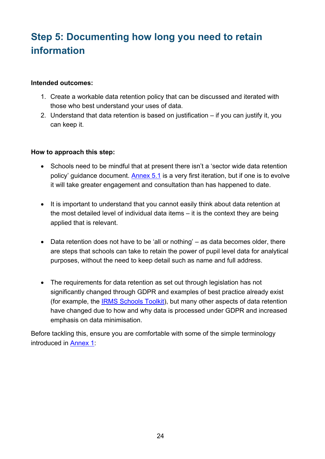# <span id="page-23-0"></span>**Step 5: Documenting how long you need to retain information**

#### **Intended outcomes:**

- 1. Create a workable data retention policy that can be discussed and iterated with those who best understand your uses of data.
- 2. Understand that data retention is based on justification if you can justify it, you can keep it.

#### **How to approach this step:**

- Schools need to be mindful that at present there isn't a 'sector wide data retention policy' guidance document. [Annex 5.1](#page-52-0) is a very first iteration, but if one is to evolve it will take greater engagement and consultation than has happened to date.
- It is important to understand that you cannot easily think about data retention at the most detailed level of individual data items – it is the context they are being applied that is relevant.
- Data retention does not have to be 'all or nothing' as data becomes older, there are steps that schools can take to retain the power of pupil level data for analytical purposes, without the need to keep detail such as name and full address.
- The requirements for data retention as set out through legislation has not significantly changed through GDPR and examples of best practice already exist (for example, the [IRMS Schools Toolkit\)](http://irms.org.uk/page/SchoolsToolkit), but many other aspects of data retention have changed due to how and why data is processed under GDPR and increased emphasis on data minimisation.

Before tackling this, ensure you are comfortable with some of the simple terminology introduced in [Annex 1:](#page-45-1)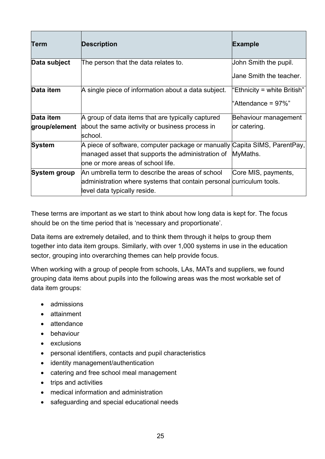| Term          | <b>Description</b>                                                                                                                                                    | <b>Example</b>                                    |
|---------------|-----------------------------------------------------------------------------------------------------------------------------------------------------------------------|---------------------------------------------------|
| Data subject  | The person that the data relates to.                                                                                                                                  | John Smith the pupil.<br>Jane Smith the teacher.  |
| Data item     | A single piece of information about a data subject.                                                                                                                   | "Ethnicity = white British"<br>"Attendance = 97%" |
| Data item     | A group of data items that are typically captured                                                                                                                     | Behaviour management                              |
| group/element | about the same activity or business process in<br>school.                                                                                                             | or catering.                                      |
| <b>System</b> | A piece of software, computer package or manually Capita SIMS, ParentPay, l<br>managed asset that supports the administration of<br>one or more areas of school life. | MyMaths.                                          |
| System group  | An umbrella term to describe the areas of school<br>administration where systems that contain personal curriculum tools.<br>level data typically reside.              | Core MIS, payments,                               |

These terms are important as we start to think about how long data is kept for. The focus should be on the time period that is 'necessary and proportionate'.

Data items are extremely detailed, and to think them through it helps to group them together into data item groups. Similarly, with over 1,000 systems in use in the education sector, grouping into overarching themes can help provide focus.

When working with a group of people from schools, LAs, MATs and suppliers, we found grouping data items about pupils into the following areas was the most workable set of data item groups:

- admissions
- attainment
- attendance
- behaviour
- exclusions
- personal identifiers, contacts and pupil characteristics
- identity management/authentication
- catering and free school meal management
- trips and activities
- medical information and administration
- safeguarding and special educational needs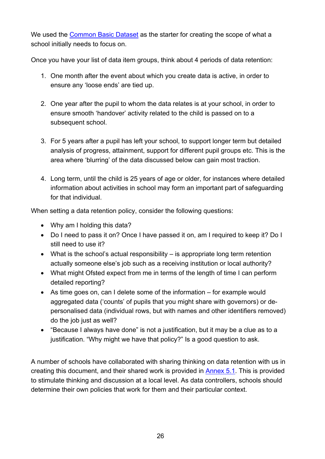We used the [Common Basic Dataset](https://www.gov.uk/government/publications/common-basic-data-set-cbds-database) as the starter for creating the scope of what a school initially needs to focus on.

Once you have your list of data item groups, think about 4 periods of data retention:

- 1. One month after the event about which you create data is active, in order to ensure any 'loose ends' are tied up.
- 2. One year after the pupil to whom the data relates is at your school, in order to ensure smooth 'handover' activity related to the child is passed on to a subsequent school.
- 3. For 5 years after a pupil has left your school, to support longer term but detailed analysis of progress, attainment, support for different pupil groups etc. This is the area where 'blurring' of the data discussed below can gain most traction.
- 4. Long term, until the child is 25 years of age or older, for instances where detailed information about activities in school may form an important part of safeguarding for that individual.

When setting a data retention policy, consider the following questions:

- Why am I holding this data?
- Do I need to pass it on? Once I have passed it on, am I required to keep it? Do I still need to use it?
- What is the school's actual responsibility is appropriate long term retention actually someone else's job such as a receiving institution or local authority?
- What might Ofsted expect from me in terms of the length of time I can perform detailed reporting?
- As time goes on, can I delete some of the information for example would aggregated data ('counts' of pupils that you might share with governors) or depersonalised data (individual rows, but with names and other identifiers removed) do the job just as well?
- "Because I always have done" is not a justification, but it may be a clue as to a justification. "Why might we have that policy?" Is a good question to ask.

A number of schools have collaborated with sharing thinking on data retention with us in creating this document, and their shared work is provided in [Annex 5.1.](#page-52-0) This is provided to stimulate thinking and discussion at a local level. As data controllers, schools should determine their own policies that work for them and their particular context.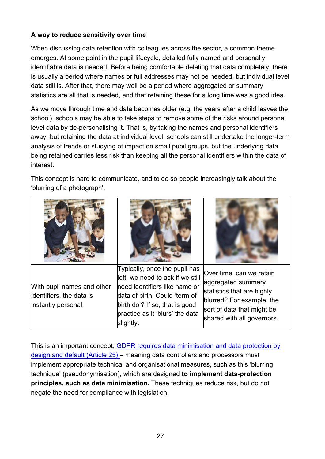#### **A way to reduce sensitivity over time**

When discussing data retention with colleagues across the sector, a common theme emerges. At some point in the pupil lifecycle, detailed fully named and personally identifiable data is needed. Before being comfortable deleting that data completely, there is usually a period where names or full addresses may not be needed, but individual level data still is. After that, there may well be a period where aggregated or summary statistics are all that is needed, and that retaining these for a long time was a good idea.

As we move through time and data becomes older (e.g. the years after a child leaves the school), schools may be able to take steps to remove some of the risks around personal level data by de-personalising it. That is, by taking the names and personal identifiers away, but retaining the data at individual level, schools can still undertake the longer-term analysis of trends or studying of impact on small pupil groups, but the underlying data being retained carries less risk than keeping all the personal identifiers within the data of interest.

This concept is hard to communicate, and to do so people increasingly talk about the 'blurring of a photograph'.



This is an important concept; GDPR requires data minimisation and data protection by [design and default \(Article 25\)](http://www.privacy-regulation.eu/en/article-25-data-protection-by-design-and-by-default-GDPR.htm) – meaning data controllers and processors must implement appropriate technical and organisational measures, such as this 'blurring technique' (pseudonymisation), which are designed **to implement data-protection principles, such as data minimisation.** These techniques reduce risk, but do not negate the need for compliance with legislation.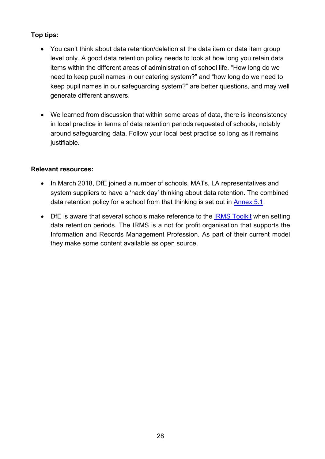#### **Top tips:**

- You can't think about data retention/deletion at the data item or data item group level only. A good data retention policy needs to look at how long you retain data items within the different areas of administration of school life. "How long do we need to keep pupil names in our catering system?" and "how long do we need to keep pupil names in our safeguarding system?" are better questions, and may well generate different answers.
- We learned from discussion that within some areas of data, there is inconsistency in local practice in terms of data retention periods requested of schools, notably around safeguarding data. Follow your local best practice so long as it remains justifiable.

#### **Relevant resources:**

- In March 2018, DfE joined a number of schools, MATs, LA representatives and system suppliers to have a 'hack day' thinking about data retention. The combined data retention policy for a school from that thinking is set out in [Annex 5.1.](#page-52-0)
- DfE is aware that several schools make reference to the **IRMS Toolkit** when setting data retention periods. The IRMS is a not for profit organisation that supports the Information and Records Management Profession. As part of their current model they make some content available as open source.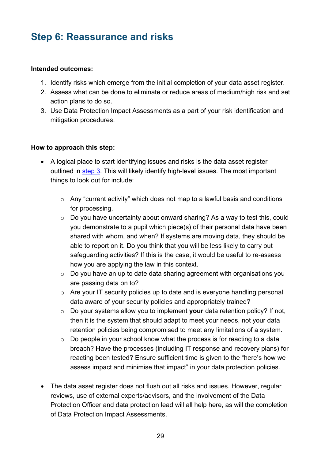# <span id="page-28-0"></span>**Step 6: Reassurance and risks**

#### **Intended outcomes:**

- 1. Identify risks which emerge from the initial completion of your data asset register.
- 2. Assess what can be done to eliminate or reduce areas of medium/high risk and set action plans to do so.
- 3. Use Data Protection Impact Assessments as a part of your risk identification and mitigation procedures.

#### **How to approach this step:**

- A logical place to start identifying issues and risks is the data asset register outlined in [step 3.](#page-13-0) This will likely identify high-level issues. The most important things to look out for include:
	- o Any "current activity" which does not map to a lawful basis and conditions for processing.
	- o Do you have uncertainty about onward sharing? As a way to test this, could you demonstrate to a pupil which piece(s) of their personal data have been shared with whom, and when? If systems are moving data, they should be able to report on it. Do you think that you will be less likely to carry out safeguarding activities? If this is the case, it would be useful to re-assess how you are applying the law in this context.
	- o Do you have an up to date data sharing agreement with organisations you are passing data on to?
	- o Are your IT security policies up to date and is everyone handling personal data aware of your security policies and appropriately trained?
	- o Do your systems allow you to implement **your** data retention policy? If not, then it is the system that should adapt to meet your needs, not your data retention policies being compromised to meet any limitations of a system.
	- o Do people in your school know what the process is for reacting to a data breach? Have the processes (including IT response and recovery plans) for reacting been tested? Ensure sufficient time is given to the "here's how we assess impact and minimise that impact" in your data protection policies.
- The data asset register does not flush out all risks and issues. However, regular reviews, use of external experts/advisors, and the involvement of the Data Protection Officer and data protection lead will all help here, as will the completion of Data Protection Impact Assessments.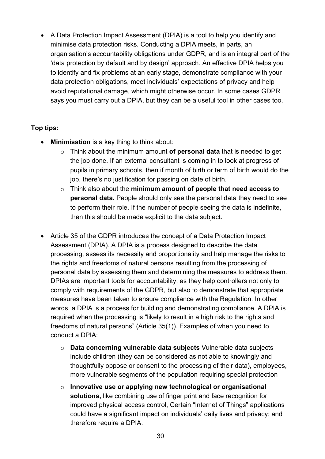• A Data Protection Impact Assessment (DPIA) is a tool to help you identify and minimise data protection risks. Conducting a DPIA meets, in parts, an organisation's accountability obligations under GDPR, and is an integral part of the 'data protection by default and by design' approach. An effective DPIA helps you to identify and fix problems at an early stage, demonstrate compliance with your data protection obligations, meet individuals' expectations of privacy and help avoid reputational damage, which might otherwise occur. In some cases GDPR says you must carry out a DPIA, but they can be a useful tool in other cases too.

#### **Top tips:**

- **Minimisation** is a key thing to think about:
	- o Think about the minimum amount **of personal data** that is needed to get the job done. If an external consultant is coming in to look at progress of pupils in primary schools, then if month of birth or term of birth would do the job, there's no justification for passing on date of birth.
	- o Think also about the **minimum amount of people that need access to personal data.** People should only see the personal data they need to see to perform their role. If the number of people seeing the data is indefinite, then this should be made explicit to the data subject.
- Article 35 of the GDPR introduces the concept of a Data Protection Impact Assessment (DPIA). A DPIA is a process designed to describe the data processing, assess its necessity and proportionality and help manage the risks to the rights and freedoms of natural persons resulting from the processing of personal data by assessing them and determining the measures to address them. DPIAs are important tools for accountability, as they help controllers not only to comply with requirements of the GDPR, but also to demonstrate that appropriate measures have been taken to ensure compliance with the Regulation. In other words, a DPIA is a process for building and demonstrating compliance. A DPIA is required when the processing is "likely to result in a high risk to the rights and freedoms of natural persons" (Article 35(1)). Examples of when you need to conduct a DPIA:
	- o **Data concerning vulnerable data subjects** Vulnerable data subjects include children (they can be considered as not able to knowingly and thoughtfully oppose or consent to the processing of their data), employees, more vulnerable segments of the population requiring special protection
	- o **Innovative use or applying new technological or organisational solutions,** like combining use of finger print and face recognition for improved physical access control, Certain "Internet of Things" applications could have a significant impact on individuals' daily lives and privacy; and therefore require a DPIA.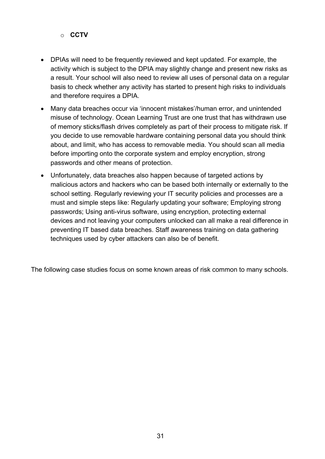- o **CCTV**
- DPIAs will need to be frequently reviewed and kept updated. For example, the activity which is subject to the DPIA may slightly change and present new risks as a result. Your school will also need to review all uses of personal data on a regular basis to check whether any activity has started to present high risks to individuals and therefore requires a DPIA.
- Many data breaches occur via 'innocent mistakes'/human error, and unintended misuse of technology. Ocean Learning Trust are one trust that has withdrawn use of memory sticks/flash drives completely as part of their process to mitigate risk. If you decide to use removable hardware containing personal data you should think about, and limit, who has access to removable media. You should scan all media before importing onto the corporate system and employ encryption, strong passwords and other means of protection.
- Unfortunately, data breaches also happen because of targeted actions by malicious actors and hackers who can be based both internally or externally to the school setting. Regularly reviewing your IT security policies and processes are a must and simple steps like: Regularly updating your software; Employing strong passwords; Using anti-virus software, using encryption, protecting external devices and not leaving your computers unlocked can all make a real difference in preventing IT based data breaches. Staff awareness training on data gathering techniques used by cyber attackers can also be of benefit.

The following case studies focus on some known areas of risk common to many schools.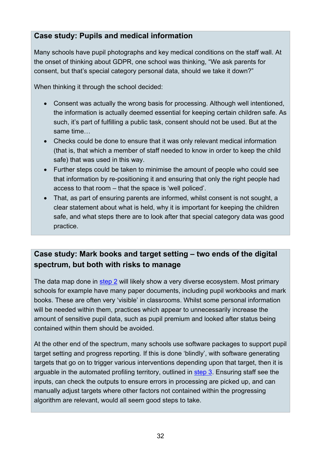## **Case study: Pupils and medical information**

Many schools have pupil photographs and key medical conditions on the staff wall. At the onset of thinking about GDPR, one school was thinking, "We ask parents for consent, but that's special category personal data, should we take it down?"

When thinking it through the school decided:

- Consent was actually the wrong basis for processing. Although well intentioned, the information is actually deemed essential for keeping certain children safe. As such, it's part of fulfilling a public task, consent should not be used. But at the same time…
- Checks could be done to ensure that it was only relevant medical information (that is, that which a member of staff needed to know in order to keep the child safe) that was used in this way.
- Further steps could be taken to minimise the amount of people who could see that information by re-positioning it and ensuring that only the right people had access to that room – that the space is 'well policed'.
- That, as part of ensuring parents are informed, whilst consent is not sought, a clear statement about what is held, why it is important for keeping the children safe, and what steps there are to look after that special category data was good practice.

## **Case study: Mark books and target setting – two ends of the digital spectrum, but both with risks to manage**

The data map done in [step 2](#page-10-0) will likely show a very diverse ecosystem. Most primary schools for example have many paper documents, including pupil workbooks and mark books. These are often very 'visible' in classrooms. Whilst some personal information will be needed within them, practices which appear to unnecessarily increase the amount of sensitive pupil data, such as pupil premium and looked after status being contained within them should be avoided.

At the other end of the spectrum, many schools use software packages to support pupil target setting and progress reporting. If this is done 'blindly', with software generating targets that go on to trigger various interventions depending upon that target, then it is arguable in the automated profiling territory, outlined in [step 3.](#page-13-0) Ensuring staff see the inputs, can check the outputs to ensure errors in processing are picked up, and can manually adjust targets where other factors not contained within the progressing algorithm are relevant, would all seem good steps to take.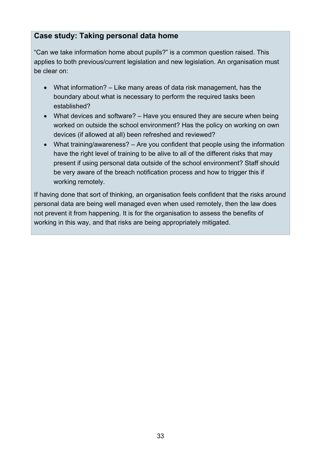## **Case study: Taking personal data home**

"Can we take information home about pupils?" is a common question raised. This applies to both previous/current legislation and new legislation. An organisation must be clear on:

- What information? Like many areas of data risk management, has the boundary about what is necessary to perform the required tasks been established?
- What devices and software? Have you ensured they are secure when being worked on outside the school environment? Has the policy on working on own devices (if allowed at all) been refreshed and reviewed?
- What training/awareness? Are you confident that people using the information have the right level of training to be alive to all of the different risks that may present if using personal data outside of the school environment? Staff should be very aware of the breach notification process and how to trigger this if working remotely.

If having done that sort of thinking, an organisation feels confident that the risks around personal data are being well managed even when used remotely, then the law does not prevent it from happening. It is for the organisation to assess the benefits of working in this way, and that risks are being appropriately mitigated.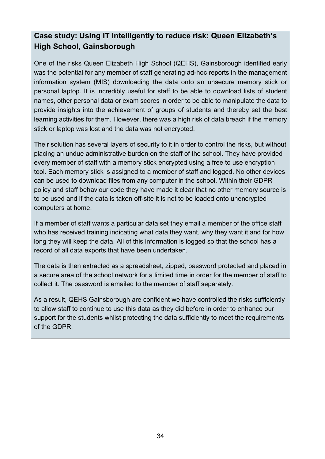## **Case study: Using IT intelligently to reduce risk: Queen Elizabeth's High School, Gainsborough**

One of the risks Queen Elizabeth High School (QEHS), Gainsborough identified early was the potential for any member of staff generating ad-hoc reports in the management information system (MIS) downloading the data onto an unsecure memory stick or personal laptop. It is incredibly useful for staff to be able to download lists of student names, other personal data or exam scores in order to be able to manipulate the data to provide insights into the achievement of groups of students and thereby set the best learning activities for them. However, there was a high risk of data breach if the memory stick or laptop was lost and the data was not encrypted.

Their solution has several layers of security to it in order to control the risks, but without placing an undue administrative burden on the staff of the school. They have provided every member of staff with a memory stick encrypted using a free to use encryption tool. Each memory stick is assigned to a member of staff and logged. No other devices can be used to download files from any computer in the school. Within their GDPR policy and staff behaviour code they have made it clear that no other memory source is to be used and if the data is taken off-site it is not to be loaded onto unencrypted computers at home.

If a member of staff wants a particular data set they email a member of the office staff who has received training indicating what data they want, why they want it and for how long they will keep the data. All of this information is logged so that the school has a record of all data exports that have been undertaken.

The data is then extracted as a spreadsheet, zipped, password protected and placed in a secure area of the school network for a limited time in order for the member of staff to collect it. The password is emailed to the member of staff separately.

As a result, QEHS Gainsborough are confident we have controlled the risks sufficiently to allow staff to continue to use this data as they did before in order to enhance our support for the students whilst protecting the data sufficiently to meet the requirements of the GDPR.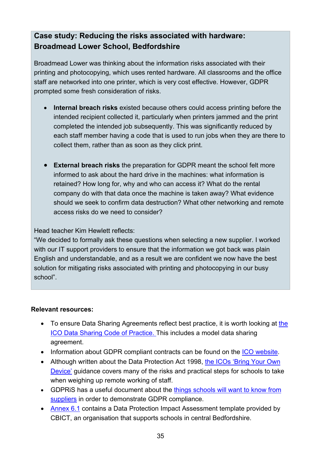## **Case study: Reducing the risks associated with hardware: Broadmead Lower School, Bedfordshire**

Broadmead Lower was thinking about the information risks associated with their printing and photocopying, which uses rented hardware. All classrooms and the office staff are networked into one printer, which is very cost effective. However, GDPR prompted some fresh consideration of risks.

- **Internal breach risks** existed because others could access printing before the intended recipient collected it, particularly when printers jammed and the print completed the intended job subsequently. This was significantly reduced by each staff member having a code that is used to run jobs when they are there to collect them, rather than as soon as they click print.
- **External breach risks** the preparation for GDPR meant the school felt more informed to ask about the hard drive in the machines: what information is retained? How long for, why and who can access it? What do the rental company do with that data once the machine is taken away? What evidence should we seek to confirm data destruction? What other networking and remote access risks do we need to consider?

Head teacher Kim Hewlett reflects:

"We decided to formally ask these questions when selecting a new supplier. I worked with our IT support providers to ensure that the information we got back was plain English and understandable, and as a result we are confident we now have the best solution for mitigating risks associated with printing and photocopying in our busy school".

#### **Relevant resources:**

- To ensure Data Sharing Agreements reflect best practice, it is worth looking at the [ICO Data Sharing Code of Practice. T](https://ico.org.uk/for-organisations/guide-to-data-protection/data-sharing/)his includes a model data sharing agreement.
- Information about GDPR compliant contracts can be found on the [ICO website.](https://ico.org.uk/for-organisations/guide-to-the-general-data-protection-regulation-gdpr/accountability-and-governance/contracts/)
- Although written about the Data Protection Act 1998, the ICOs 'Bring Your Own [Device'](https://ico.org.uk/media/for-organisations/documents/1563/ico_bring_your_own_device_byod_guidance.pdf) guidance covers many of the risks and practical steps for schools to take when weighing up remote working of staff.
- GDPRiS has a useful document about the [things schools will want to know from](https://www.gdpr.school/wp-content/uploads/2018/02/What-schools-need-from-suppliers.pdf)  [suppliers](https://www.gdpr.school/wp-content/uploads/2018/02/What-schools-need-from-suppliers.pdf) in order to demonstrate GDPR compliance.
- [Annex 6.1](#page-62-0) contains a Data Protection Impact Assessment template provided by CBICT, an organisation that supports schools in central Bedfordshire.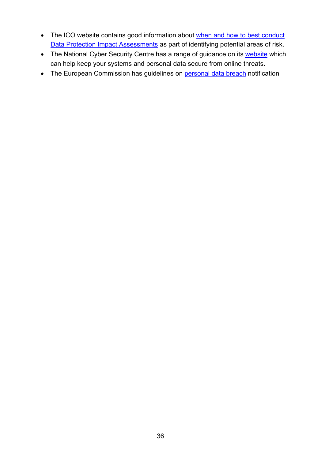- The ICO website contains good information about when and how to best conduct [Data Protection Impact Assessments](https://ico.org.uk/for-organisations/guide-to-the-general-data-protection-regulation-gdpr/accountability-and-governance/data-protection-impact-assessments/) as part of identifying potential areas of risk.
- The National Cyber Security Centre has a range of guidance on its [website](https://www.ncsc.gov.uk/guidance) which can help keep your systems and personal data secure from online threats.
- The European Commission has guidelines on **personal data breach** notification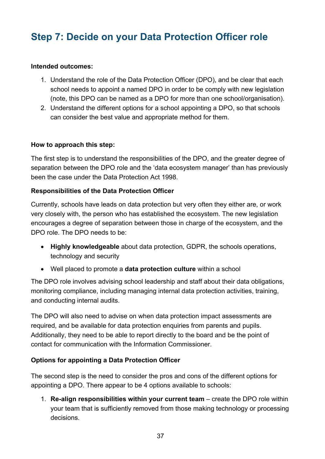# <span id="page-36-0"></span>**Step 7: Decide on your Data Protection Officer role**

#### **Intended outcomes:**

- 1. Understand the role of the Data Protection Officer (DPO), and be clear that each school needs to appoint a named DPO in order to be comply with new legislation (note, this DPO can be named as a DPO for more than one school/organisation).
- 2. Understand the different options for a school appointing a DPO, so that schools can consider the best value and appropriate method for them.

#### **How to approach this step:**

The first step is to understand the responsibilities of the DPO, and the greater degree of separation between the DPO role and the 'data ecosystem manager' than has previously been the case under the Data Protection Act 1998.

#### **Responsibilities of the Data Protection Officer**

Currently, schools have leads on data protection but very often they either are, or work very closely with, the person who has established the ecosystem. The new legislation encourages a degree of separation between those in charge of the ecosystem, and the DPO role. The DPO needs to be:

- **Highly knowledgeable** about data protection, GDPR, the schools operations, technology and security
- Well placed to promote a **data protection culture** within a school

The DPO role involves advising school leadership and staff about their data obligations, monitoring compliance, including managing internal data protection activities, training, and conducting internal audits.

The DPO will also need to advise on when data protection impact assessments are required, and be available for data protection enquiries from parents and pupils. Additionally, they need to be able to report directly to the board and be the point of contact for communication with the Information Commissioner.

#### **Options for appointing a Data Protection Officer**

The second step is the need to consider the pros and cons of the different options for appointing a DPO. There appear to be 4 options available to schools:

1. **Re-align responsibilities within your current team** – create the DPO role within your team that is sufficiently removed from those making technology or processing decisions.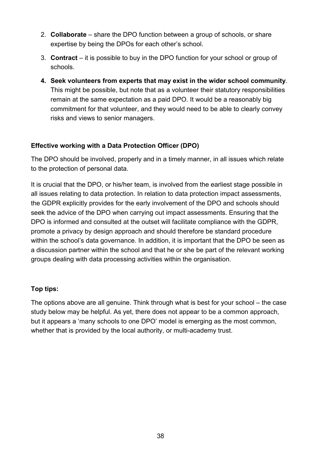- 2. **Collaborate** share the DPO function between a group of schools, or share expertise by being the DPOs for each other's school.
- 3. **Contract** it is possible to buy in the DPO function for your school or group of schools.
- **4. Seek volunteers from experts that may exist in the wider school community**. This might be possible, but note that as a volunteer their statutory responsibilities remain at the same expectation as a paid DPO. It would be a reasonably big commitment for that volunteer, and they would need to be able to clearly convey risks and views to senior managers.

#### **Effective working with a Data Protection Officer (DPO)**

The DPO should be involved, properly and in a timely manner, in all issues which relate to the protection of personal data.

It is crucial that the DPO, or his/her team, is involved from the earliest stage possible in all issues relating to data protection. In relation to data protection impact assessments, the GDPR explicitly provides for the early involvement of the DPO and schools should seek the advice of the DPO when carrying out impact assessments. Ensuring that the DPO is informed and consulted at the outset will facilitate compliance with the GDPR, promote a privacy by design approach and should therefore be standard procedure within the school's data governance. In addition, it is important that the DPO be seen as a discussion partner within the school and that he or she be part of the relevant working groups dealing with data processing activities within the organisation.

#### **Top tips:**

The options above are all genuine. Think through what is best for your school – the case study below may be helpful. As yet, there does not appear to be a common approach, but it appears a 'many schools to one DPO' model is emerging as the most common, whether that is provided by the local authority, or multi-academy trust.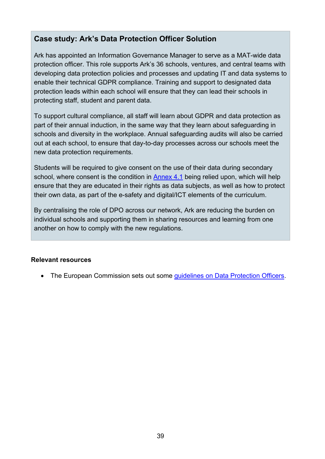## **Case study: Ark's Data Protection Officer Solution**

Ark has appointed an Information Governance Manager to serve as a MAT-wide data protection officer. This role supports Ark's 36 schools, ventures, and central teams with developing data protection policies and processes and updating IT and data systems to enable their technical GDPR compliance. Training and support to designated data protection leads within each school will ensure that they can lead their schools in protecting staff, student and parent data.

To support cultural compliance, all staff will learn about GDPR and data protection as part of their annual induction, in the same way that they learn about safeguarding in schools and diversity in the workplace. Annual safeguarding audits will also be carried out at each school, to ensure that day-to-day processes across our schools meet the new data protection requirements.

Students will be required to give consent on the use of their data during secondary school, where consent is the condition in [Annex 4.1](#page-50-0) being relied upon, which will help ensure that they are educated in their rights as data subjects, as well as how to protect their own data, as part of the e-safety and digital/ICT elements of the curriculum.

By centralising the role of DPO across our network, Ark are reducing the burden on individual schools and supporting them in sharing resources and learning from one another on how to comply with the new regulations.

#### **Relevant resources**

• The European Commission sets out some quidelines on Data Protection Officers.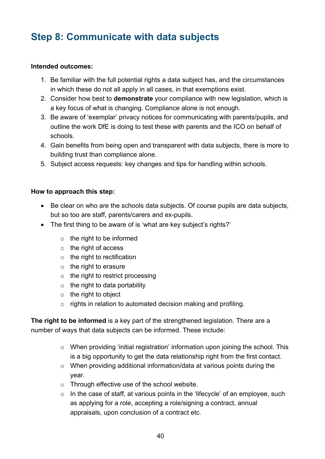# <span id="page-39-0"></span>**Step 8: Communicate with data subjects**

#### **Intended outcomes:**

- 1. Be familiar with the full potential rights a data subject has, and the circumstances in which these do not all apply in all cases, in that exemptions exist.
- 2. Consider how best to **demonstrate** your compliance with new legislation, which is a key focus of what is changing. Compliance alone is not enough.
- 3. Be aware of 'exemplar' privacy notices for communicating with parents/pupils, and outline the work DfE is doing to test these with parents and the ICO on behalf of schools.
- 4. Gain benefits from being open and transparent with data subjects, there is more to building trust than compliance alone.
- 5. Subject access requests: key changes and tips for handling within schools.

#### **How to approach this step:**

- Be clear on who are the schools data subjects. Of course pupils are data subjects, but so too are staff, parents/carers and ex-pupils.
- The first thing to be aware of is 'what are key subiect's rights?'
	- o the right to be informed
	- o the right of access
	- $\circ$  the right to rectification
	- $\circ$  the right to erasure
	- $\circ$  the right to restrict processing
	- $\circ$  the right to data portability
	- $\circ$  the right to object
	- o rights in relation to automated decision making and profiling.

**The right to be informed** is a key part of the strengthened legislation. There are a number of ways that data subjects can be informed. These include:

- o When providing 'initial registration' information upon joining the school. This is a big opportunity to get the data relationship right from the first contact.
- o When providing additional information/data at various points during the year.
- o Through effective use of the school website.
- o In the case of staff, at various points in the 'lifecycle' of an employee, such as applying for a role, accepting a role/signing a contract, annual appraisals, upon conclusion of a contract etc.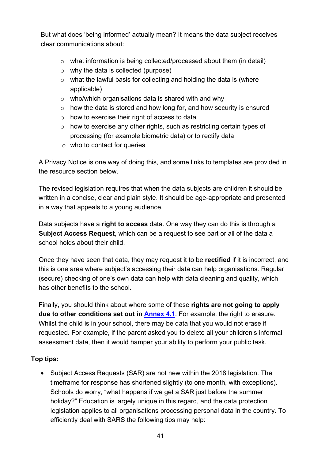But what does 'being informed' actually mean? It means the data subject receives clear communications about:

- o what information is being collected/processed about them (in detail)
- $\circ$  why the data is collected (purpose)
- $\circ$  what the lawful basis for collecting and holding the data is (where applicable)
- $\circ$  who/which organisations data is shared with and why
- $\circ$  how the data is stored and how long for, and how security is ensured
- o how to exercise their right of access to data
- $\circ$  how to exercise any other rights, such as restricting certain types of processing (for example biometric data) or to rectify data
- $\circ$  who to contact for queries

A Privacy Notice is one way of doing this, and some links to templates are provided in the resource section below.

The revised legislation requires that when the data subjects are children it should be written in a concise, clear and plain style. It should be age-appropriate and presented in a way that appeals to a young audience.

Data subjects have a **right to access** data. One way they can do this is through a **Subject Access Request**, which can be a request to see part or all of the data a school holds about their child.

Once they have seen that data, they may request it to be **rectified** if it is incorrect, and this is one area where subject's accessing their data can help organisations. Regular (secure) checking of one's own data can help with data cleaning and quality, which has other benefits to the school.

Finally, you should think about where some of these **rights are not going to apply due to other conditions set out in [Annex 4.1](#page-50-0)**. For example, the right to erasure. Whilst the child is in your school, there may be data that you would not erase if requested. For example, if the parent asked you to delete all your children's informal assessment data, then it would hamper your ability to perform your public task.

#### **Top tips:**

• Subject Access Requests (SAR) are not new within the 2018 legislation. The timeframe for response has shortened slightly (to one month, with exceptions). Schools do worry, "what happens if we get a SAR just before the summer holiday?" Education is largely unique in this regard, and the data protection legislation applies to all organisations processing personal data in the country. To efficiently deal with SARS the following tips may help: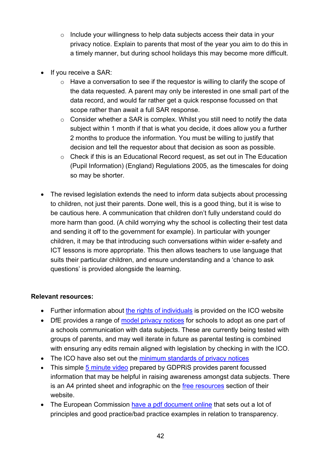- o Include your willingness to help data subjects access their data in your privacy notice. Explain to parents that most of the year you aim to do this in a timely manner, but during school holidays this may become more difficult.
- If you receive a SAR:
	- o Have a conversation to see if the requestor is willing to clarify the scope of the data requested. A parent may only be interested in one small part of the data record, and would far rather get a quick response focussed on that scope rather than await a full SAR response.
	- $\circ$  Consider whether a SAR is complex. Whilst you still need to notify the data subject within 1 month if that is what you decide, it does allow you a further 2 months to produce the information. You must be willing to justify that decision and tell the requestor about that decision as soon as possible.
	- o Check if this is an Educational Record request, as set out in The Education (Pupil Information) (England) Regulations 2005, as the timescales for doing so may be shorter.
- The revised legislation extends the need to inform data subjects about processing to children, not just their parents. Done well, this is a good thing, but it is wise to be cautious here. A communication that children don't fully understand could do more harm than good. (A child worrying why the school is collecting their test data and sending it off to the government for example). In particular with younger children, it may be that introducing such conversations within wider e-safety and ICT lessons is more appropriate. This then allows teachers to use language that suits their particular children, and ensure understanding and a 'chance to ask questions' is provided alongside the learning.

#### **Relevant resources:**

- Further information about [the rights of individuals](https://ico.org.uk/for-organisations/guide-to-the-general-data-protection-regulation-gdpr/individual-rights/) is provided on the ICO website
- DfE provides a range of [model privacy notices](https://www.gov.uk/government/publications/data-protection-and-privacy-privacy-notices) for schools to adopt as one part of a schools communication with data subjects. These are currently being tested with groups of parents, and may well iterate in future as parental testing is combined with ensuring any edits remain aligned with legislation by checking in with the ICO.
- The ICO have also set out the [minimum standards of privacy notices](https://ico.org.uk/for-organisations/guide-to-data-protection/privacy-notices-transparency-and-control/privacy-notices-under-the-eu-general-data-protection-regulation/)
- This simple [5 minute video](https://www.youtube.com/watch?v=Ua_LzUJ_wu8&t=1s) prepared by GDPRIS provides parent focussed information that may be helpful in raising awareness amongst data subjects. There is an A4 printed sheet and infographic on the [free resources](https://www.gdpr.school/free-resources/) section of their website.
- The European Commission [have a pdf document online](http://ec.europa.eu/newsroom/article29/item-detail.cfm?item_id=622227) that sets out a lot of principles and good practice/bad practice examples in relation to transparency.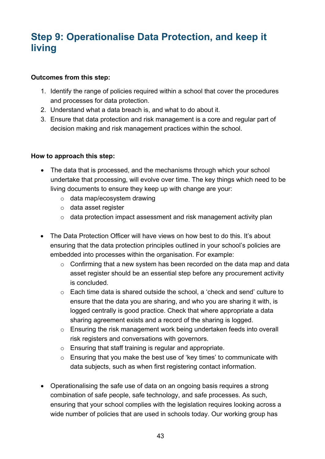# <span id="page-42-0"></span>**Step 9: Operationalise Data Protection, and keep it living**

#### **Outcomes from this step:**

- 1. Identify the range of policies required within a school that cover the procedures and processes for data protection.
- 2. Understand what a data breach is, and what to do about it.
- 3. Ensure that data protection and risk management is a core and regular part of decision making and risk management practices within the school.

#### **How to approach this step:**

- The data that is processed, and the mechanisms through which your school undertake that processing, will evolve over time. The key things which need to be living documents to ensure they keep up with change are your:
	- o data map/ecosystem drawing
	- o data asset register
	- o data protection impact assessment and risk management activity plan
- The Data Protection Officer will have views on how best to do this. It's about ensuring that the data protection principles outlined in your school's policies are embedded into processes within the organisation. For example:
	- $\circ$  Confirming that a new system has been recorded on the data map and data asset register should be an essential step before any procurement activity is concluded.
	- o Each time data is shared outside the school, a 'check and send' culture to ensure that the data you are sharing, and who you are sharing it with, is logged centrally is good practice. Check that where appropriate a data sharing agreement exists and a record of the sharing is logged.
	- o Ensuring the risk management work being undertaken feeds into overall risk registers and conversations with governors.
	- o Ensuring that staff training is regular and appropriate.
	- o Ensuring that you make the best use of 'key times' to communicate with data subjects, such as when first registering contact information.
- Operationalising the safe use of data on an ongoing basis requires a strong combination of safe people, safe technology, and safe processes. As such, ensuring that your school complies with the legislation requires looking across a wide number of policies that are used in schools today. Our working group has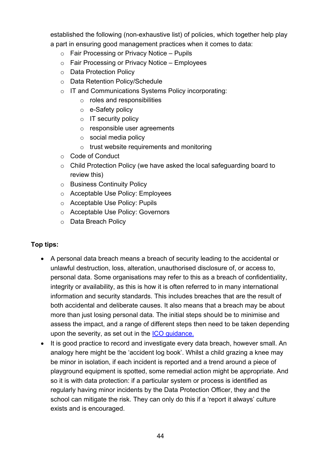established the following (non-exhaustive list) of policies, which together help play a part in ensuring good management practices when it comes to data:

- $\circ$  Fair Processing or Privacy Notice Pupils
- o Fair Processing or Privacy Notice Employees
- o Data Protection Policy
- o Data Retention Policy/Schedule
- o IT and Communications Systems Policy incorporating:
	- o roles and responsibilities
	- o e-Safety policy
	- $\circ$  IT security policy
	- o responsible user agreements
	- o social media policy
	- o trust website requirements and monitoring
- o Code of Conduct
- o Child Protection Policy (we have asked the local safeguarding board to review this)
- o Business Continuity Policy
- o Acceptable Use Policy: Employees
- o Acceptable Use Policy: Pupils
- o Acceptable Use Policy: Governors
- o Data Breach Policy

#### **Top tips:**

- A personal data breach means a breach of security leading to the accidental or unlawful destruction, loss, alteration, unauthorised disclosure of, or access to, personal data. Some organisations may refer to this as a breach of confidentiality, integrity or availability, as this is how it is often referred to in many international information and security standards. This includes breaches that are the result of both accidental and deliberate causes. It also means that a breach may be about more than just losing personal data. The initial steps should be to minimise and assess the impact, and a range of different steps then need to be taken depending upon the severity, as set out in the [ICO guidance.](https://ico.org.uk/for-organisations/guide-to-the-general-data-protection-regulation-gdpr/personal-data-breaches/)
- It is good practice to record and investigate every data breach, however small. An analogy here might be the 'accident log book'. Whilst a child grazing a knee may be minor in isolation, if each incident is reported and a trend around a piece of playground equipment is spotted, some remedial action might be appropriate. And so it is with data protection: if a particular system or process is identified as regularly having minor incidents by the Data Protection Officer, they and the school can mitigate the risk. They can only do this if a 'report it always' culture exists and is encouraged.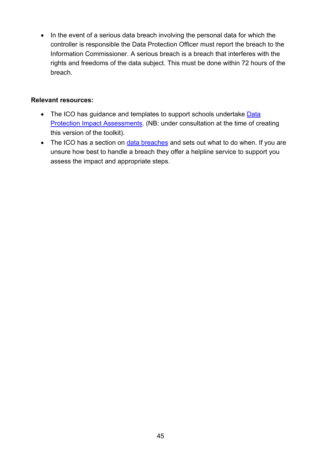• In the event of a serious data breach involving the personal data for which the controller is responsible the Data Protection Officer must report the breach to the Information Commissioner. A serious breach is a breach that interferes with the rights and freedoms of the data subject. This must be done within 72 hours of the breach.

#### **Relevant resources:**

- The ICO has guidance and templates to support schools undertake Data [Protection Impact Assessments.](https://ico.org.uk/about-the-ico/ico-and-stakeholder-consultations/data-protection-impact-assessments-dpias-guidance/) (NB: under consultation at the time of creating this version of the toolkit).
- The ICO has a section on [data breaches](file:///C:%5CUsers%5CIBradley%5COneDrive%20-%20Department%20for%20Education%5CDocuments%5CAll%20My%20Files%5CData%20Transformation%20Programme%5CF_NPD%20Management%5CGDPR%5CGDPR%20Toolkit%20for%20Schools%5C%E2%80%A2https:%5Cico.org.uk%5Cfor-organisations%5Cguide-to-the-general-data-protection-regulation-gdpr%5Cpersonal-data-breaches%5C) and sets out what to do when. If you are unsure how best to handle a breach they offer a helpline service to support you assess the impact and appropriate steps.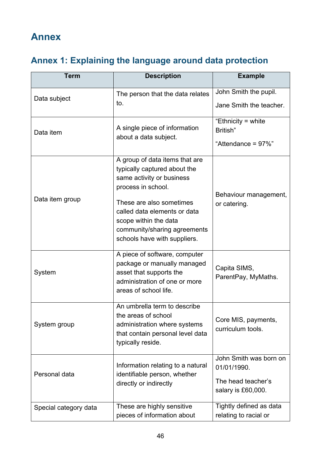# <span id="page-45-0"></span>**Annex**

# <span id="page-45-1"></span>**Annex 1: Explaining the language around data protection**

| <b>Term</b>                                                                                                                                                  | <b>Description</b>                                                                                                                                                                                                                                                     | <b>Example</b>                                                                    |  |
|--------------------------------------------------------------------------------------------------------------------------------------------------------------|------------------------------------------------------------------------------------------------------------------------------------------------------------------------------------------------------------------------------------------------------------------------|-----------------------------------------------------------------------------------|--|
| Data subject                                                                                                                                                 | The person that the data relates<br>to.                                                                                                                                                                                                                                | John Smith the pupil.<br>Jane Smith the teacher.                                  |  |
| Data item                                                                                                                                                    | A single piece of information<br>about a data subject.                                                                                                                                                                                                                 | "Ethnicity = white<br>British"<br>"Attendance = $97\%$ "                          |  |
| Data item group                                                                                                                                              | A group of data items that are<br>typically captured about the<br>same activity or business<br>process in school.<br>These are also sometimes<br>called data elements or data<br>scope within the data<br>community/sharing agreements<br>schools have with suppliers. | Behaviour management,<br>or catering.                                             |  |
| System                                                                                                                                                       | A piece of software, computer<br>package or manually managed<br>asset that supports the<br>administration of one or more<br>areas of school life.                                                                                                                      | Capita SIMS,<br>ParentPay, MyMaths.                                               |  |
| An umbrella term to describe<br>the areas of school<br>System group<br>administration where systems<br>that contain personal level data<br>typically reside. |                                                                                                                                                                                                                                                                        | Core MIS, payments,<br>curriculum tools.                                          |  |
| Personal data                                                                                                                                                | Information relating to a natural<br>identifiable person, whether<br>directly or indirectly                                                                                                                                                                            | John Smith was born on<br>01/01/1990.<br>The head teacher's<br>salary is £60,000. |  |
| Special category data                                                                                                                                        | These are highly sensitive<br>pieces of information about                                                                                                                                                                                                              | Tightly defined as data<br>relating to racial or                                  |  |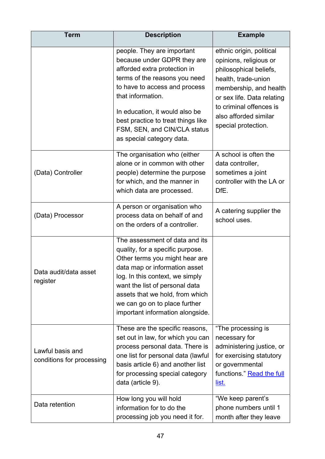| <b>Term</b>                                   | <b>Description</b>                                                                                                                                                                                                                                                                                                    | <b>Example</b>                                                                                                                                                                                                                         |
|-----------------------------------------------|-----------------------------------------------------------------------------------------------------------------------------------------------------------------------------------------------------------------------------------------------------------------------------------------------------------------------|----------------------------------------------------------------------------------------------------------------------------------------------------------------------------------------------------------------------------------------|
|                                               | people. They are important<br>because under GDPR they are<br>afforded extra protection in<br>terms of the reasons you need<br>to have to access and process<br>that information.<br>In education, it would also be<br>best practice to treat things like<br>FSM, SEN, and CIN/CLA status<br>as special category data. | ethnic origin, political<br>opinions, religious or<br>philosophical beliefs,<br>health, trade-union<br>membership, and health<br>or sex life. Data relating<br>to criminal offences is<br>also afforded similar<br>special protection. |
| (Data) Controller                             | The organisation who (either<br>alone or in common with other<br>people) determine the purpose<br>for which, and the manner in<br>which data are processed.                                                                                                                                                           | A school is often the<br>data controller,<br>sometimes a joint<br>controller with the LA or<br>DfE.                                                                                                                                    |
| (Data) Processor                              | A person or organisation who<br>process data on behalf of and<br>on the orders of a controller.                                                                                                                                                                                                                       | A catering supplier the<br>school uses.                                                                                                                                                                                                |
| Data audit/data asset<br>register             | The assessment of data and its<br>quality, for a specific purpose.<br>Other terms you might hear are<br>data map or information asset<br>log. In this context, we simply<br>want the list of personal data<br>assets that we hold, from which<br>we can go on to place further<br>important information alongside.    |                                                                                                                                                                                                                                        |
| Lawful basis and<br>conditions for processing | These are the specific reasons,<br>set out in law, for which you can<br>process personal data. There is<br>one list for personal data (lawful<br>basis article 6) and another list<br>for processing special category<br>data (article 9).                                                                            | "The processing is<br>necessary for<br>administering justice, or<br>for exercising statutory<br>or governmental<br>functions " Read the full<br><u>list.</u>                                                                           |
| Data retention                                | How long you will hold<br>information for to do the<br>processing job you need it for.                                                                                                                                                                                                                                | "We keep parent's<br>phone numbers until 1<br>month after they leave                                                                                                                                                                   |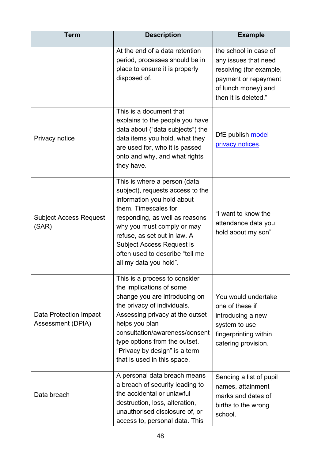| <b>Term</b>                                        | <b>Description</b>                                                                                                                                                                                                                                                                                                      | <b>Example</b>                                                                                                                                  |  |
|----------------------------------------------------|-------------------------------------------------------------------------------------------------------------------------------------------------------------------------------------------------------------------------------------------------------------------------------------------------------------------------|-------------------------------------------------------------------------------------------------------------------------------------------------|--|
|                                                    | At the end of a data retention<br>period, processes should be in<br>place to ensure it is properly<br>disposed of.                                                                                                                                                                                                      | the school in case of<br>any issues that need<br>resolving (for example,<br>payment or repayment<br>of lunch money) and<br>then it is deleted." |  |
| Privacy notice                                     | This is a document that<br>explains to the people you have<br>data about ("data subjects") the<br>data items you hold, what they<br>are used for, who it is passed<br>onto and why, and what rights<br>they have.                                                                                                       | DfE publish model<br>privacy notices                                                                                                            |  |
| <b>Subject Access Request</b><br>(SAR)             | This is where a person (data<br>subject), requests access to the<br>information you hold about<br>them. Timescales for<br>responding, as well as reasons<br>why you must comply or may<br>refuse, as set out in law. A<br><b>Subject Access Request is</b><br>often used to describe "tell me<br>all my data you hold". | "I want to know the<br>attendance data you<br>hold about my son"                                                                                |  |
| <b>Data Protection Impact</b><br>Assessment (DPIA) | This is a process to consider<br>the implications of some<br>change you are introducing on<br>the privacy of individuals.<br>Assessing privacy at the outset<br>helps you plan<br>consultation/awareness/consent<br>type options from the outset.<br>"Privacy by design" is a term<br>that is used in this space.       | You would undertake<br>one of these if<br>introducing a new<br>system to use<br>fingerprinting within<br>catering provision.                    |  |
| Data breach                                        | A personal data breach means<br>a breach of security leading to<br>the accidental or unlawful<br>destruction, loss, alteration,<br>unauthorised disclosure of, or<br>access to, personal data. This                                                                                                                     | Sending a list of pupil<br>names, attainment<br>marks and dates of<br>births to the wrong<br>school.                                            |  |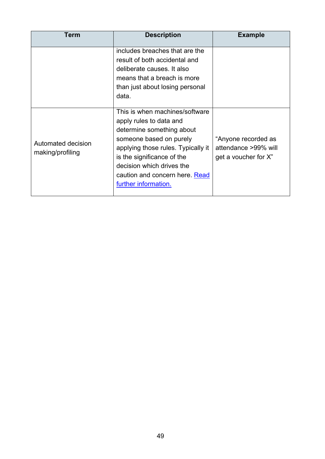| Term                                   | <b>Description</b>                                                                                                                                                                                                                                                           | <b>Example</b>                                                      |
|----------------------------------------|------------------------------------------------------------------------------------------------------------------------------------------------------------------------------------------------------------------------------------------------------------------------------|---------------------------------------------------------------------|
|                                        | includes breaches that are the<br>result of both accidental and<br>deliberate causes. It also<br>means that a breach is more<br>than just about losing personal<br>data.                                                                                                     |                                                                     |
| Automated decision<br>making/profiling | This is when machines/software<br>apply rules to data and<br>determine something about<br>someone based on purely<br>applying those rules. Typically it<br>is the significance of the<br>decision which drives the<br>caution and concern here. Read<br>further information. | "Anyone recorded as<br>attendance >99% will<br>get a voucher for X" |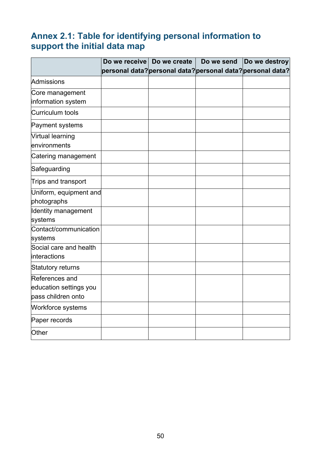## <span id="page-49-0"></span>**Annex 2.1: Table for identifying personal information to support the initial data map**

|                                                                | Do we receive   Do we create | Do we send | Do we destroy                                                |
|----------------------------------------------------------------|------------------------------|------------|--------------------------------------------------------------|
|                                                                |                              |            | personal data?∣personal data?∣personal data?∣personal data?∣ |
| Admissions                                                     |                              |            |                                                              |
| Core management<br>information system                          |                              |            |                                                              |
| Curriculum tools                                               |                              |            |                                                              |
| Payment systems                                                |                              |            |                                                              |
| Virtual learning<br>environments                               |                              |            |                                                              |
| Catering management                                            |                              |            |                                                              |
| Safeguarding                                                   |                              |            |                                                              |
| Trips and transport                                            |                              |            |                                                              |
| Uniform, equipment and<br>photographs                          |                              |            |                                                              |
| Identity management<br>systems                                 |                              |            |                                                              |
| Contact/communication<br>systems                               |                              |            |                                                              |
| Social care and health<br>interactions                         |                              |            |                                                              |
| Statutory returns                                              |                              |            |                                                              |
| References and<br>education settings you<br>pass children onto |                              |            |                                                              |
| Workforce systems                                              |                              |            |                                                              |
| Paper records                                                  |                              |            |                                                              |
| Other                                                          |                              |            |                                                              |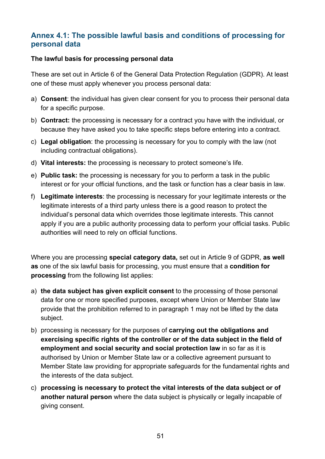## <span id="page-50-0"></span>**Annex 4.1: The possible lawful basis and conditions of processing for personal data**

#### **The lawful basis for processing personal data**

These are set out in Article 6 of the General Data Protection Regulation (GDPR). At least one of these must apply whenever you process personal data:

- a) **Consent**: the individual has given clear consent for you to process their personal data for a specific purpose.
- b) **Contract:** the processing is necessary for a contract you have with the individual, or because they have asked you to take specific steps before entering into a contract.
- c) **Legal obligation**: the processing is necessary for you to comply with the law (not including contractual obligations).
- d) **Vital interests:** the processing is necessary to protect someone's life.
- e) **Public task:** the processing is necessary for you to perform a task in the public interest or for your official functions, and the task or function has a clear basis in law.
- f) **Legitimate interests**: the processing is necessary for your legitimate interests or the legitimate interests of a third party unless there is a good reason to protect the individual's personal data which overrides those legitimate interests. This cannot apply if you are a public authority processing data to perform your official tasks. Public authorities will need to rely on official functions.

Where you are processing **special category data,** set out in Article 9 of GDPR, **as well as** one of the six lawful basis for processing, you must ensure that a **condition for processing** from the following list applies:

- a) **the data subject has given explicit consent** to the processing of those personal data for one or more specified purposes, except where Union or Member State law provide that the prohibition referred to in paragraph 1 may not be lifted by the data subject.
- b) processing is necessary for the purposes of **carrying out the obligations and exercising specific rights of the controller or of the data subject in the field of employment and social security and social protection law** in so far as it is authorised by Union or Member State law or a collective agreement pursuant to Member State law providing for appropriate safeguards for the fundamental rights and the interests of the data subject.
- c) **processing is necessary to protect the vital interests of the data subject or of another natural person** where the data subject is physically or legally incapable of giving consent.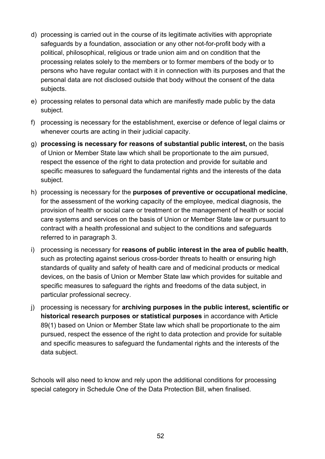- d) processing is carried out in the course of its legitimate activities with appropriate safeguards by a foundation, association or any other not-for-profit body with a political, philosophical, religious or trade union aim and on condition that the processing relates solely to the members or to former members of the body or to persons who have regular contact with it in connection with its purposes and that the personal data are not disclosed outside that body without the consent of the data subjects.
- e) processing relates to personal data which are manifestly made public by the data subject.
- f) processing is necessary for the establishment, exercise or defence of legal claims or whenever courts are acting in their judicial capacity.
- g) **processing is necessary for reasons of substantial public interest,** on the basis of Union or Member State law which shall be proportionate to the aim pursued, respect the essence of the right to data protection and provide for suitable and specific measures to safeguard the fundamental rights and the interests of the data subject.
- h) processing is necessary for the **purposes of preventive or occupational medicine**, for the assessment of the working capacity of the employee, medical diagnosis, the provision of health or social care or treatment or the management of health or social care systems and services on the basis of Union or Member State law or pursuant to contract with a health professional and subject to the conditions and safeguards referred to in paragraph 3.
- i) processing is necessary for **reasons of public interest in the area of public health**, such as protecting against serious cross-border threats to health or ensuring high standards of quality and safety of health care and of medicinal products or medical devices, on the basis of Union or Member State law which provides for suitable and specific measures to safeguard the rights and freedoms of the data subject, in particular professional secrecy.
- j) processing is necessary for **archiving purposes in the public interest, scientific or historical research purposes or statistical purposes** in accordance with Article 89(1) based on Union or Member State law which shall be proportionate to the aim pursued, respect the essence of the right to data protection and provide for suitable and specific measures to safeguard the fundamental rights and the interests of the data subject.

Schools will also need to know and rely upon the additional conditions for processing special category in Schedule One of the Data Protection Bill, when finalised.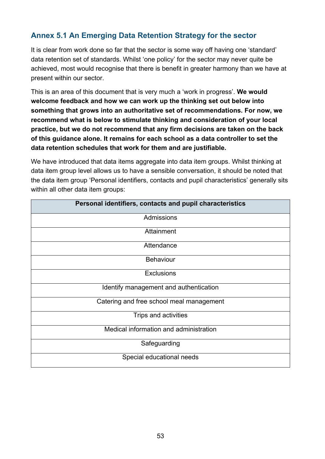## <span id="page-52-0"></span>**Annex 5.1 An Emerging Data Retention Strategy for the sector**

It is clear from work done so far that the sector is some way off having one 'standard' data retention set of standards. Whilst 'one policy' for the sector may never quite be achieved, most would recognise that there is benefit in greater harmony than we have at present within our sector.

This is an area of this document that is very much a 'work in progress'. **We would welcome feedback and how we can work up the thinking set out below into something that grows into an authoritative set of recommendations. For now, we recommend what is below to stimulate thinking and consideration of your local practice, but we do not recommend that any firm decisions are taken on the back of this guidance alone. It remains for each school as a data controller to set the data retention schedules that work for them and are justifiable.**

We have introduced that data items aggregate into data item groups. Whilst thinking at data item group level allows us to have a sensible conversation, it should be noted that the data item group 'Personal identifiers, contacts and pupil characteristics' generally sits within all other data item groups:

| Personal identifiers, contacts and pupil characteristics |
|----------------------------------------------------------|
| Admissions                                               |
| Attainment                                               |
| Attendance                                               |
| <b>Behaviour</b>                                         |
| <b>Exclusions</b>                                        |
| Identify management and authentication                   |
| Catering and free school meal management                 |
| Trips and activities                                     |
| Medical information and administration                   |
| Safeguarding                                             |
| Special educational needs                                |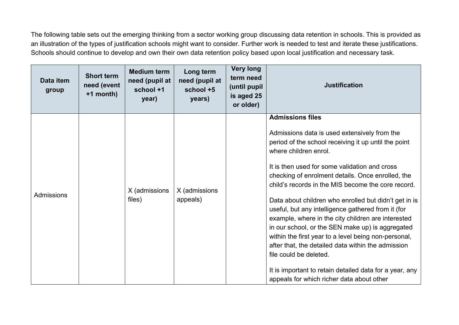The following table sets out the emerging thinking from a sector working group discussing data retention in schools. This is provided as an illustration of the types of justification schools might want to consider. Further work is needed to test and iterate these justifications. Schools should continue to develop and own their own data retention policy based upon local justification and necessary task.

| Data item<br>group | <b>Short term</b><br>need (event<br>$+1$ month) | <b>Medium term</b><br>need (pupil at<br>school +1<br>year) | Long term<br>need (pupil at<br>school +5<br>years) | <b>Very long</b><br>term need<br>(until pupil<br>is aged 25<br>or older) | <b>Justification</b>                                                                                                                                                                                                                                                                                                                                                                                                                                                                                                                                                                                                                                                                                                                                                                          |
|--------------------|-------------------------------------------------|------------------------------------------------------------|----------------------------------------------------|--------------------------------------------------------------------------|-----------------------------------------------------------------------------------------------------------------------------------------------------------------------------------------------------------------------------------------------------------------------------------------------------------------------------------------------------------------------------------------------------------------------------------------------------------------------------------------------------------------------------------------------------------------------------------------------------------------------------------------------------------------------------------------------------------------------------------------------------------------------------------------------|
| <b>Admissions</b>  |                                                 | X (admissions<br>files)                                    | X (admissions<br>appeals)                          |                                                                          | <b>Admissions files</b><br>Admissions data is used extensively from the<br>period of the school receiving it up until the point<br>where children enrol.<br>It is then used for some validation and cross<br>checking of enrolment details. Once enrolled, the<br>child's records in the MIS become the core record.<br>Data about children who enrolled but didn't get in is<br>useful, but any intelligence gathered from it (for<br>example, where in the city children are interested<br>in our school, or the SEN make up) is aggregated<br>within the first year to a level being non-personal,<br>after that, the detailed data within the admission<br>file could be deleted.<br>It is important to retain detailed data for a year, any<br>appeals for which richer data about other |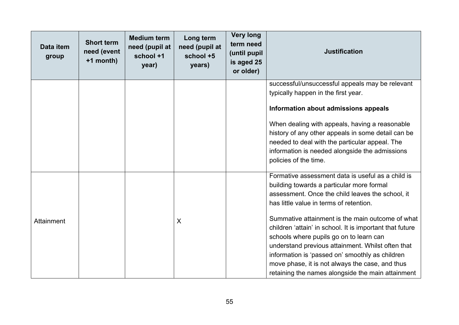| Data item<br>group | <b>Short term</b><br>need (event<br>$+1$ month) | <b>Medium term</b><br>need (pupil at<br>school +1<br>year) | Long term<br>need (pupil at<br>school +5<br>years) | <b>Very long</b><br>term need<br>(until pupil<br>is aged 25<br>or older) | <b>Justification</b>                                                                                                                                                                                                                                                                                                                                                                                                                                                                                                                                                     |
|--------------------|-------------------------------------------------|------------------------------------------------------------|----------------------------------------------------|--------------------------------------------------------------------------|--------------------------------------------------------------------------------------------------------------------------------------------------------------------------------------------------------------------------------------------------------------------------------------------------------------------------------------------------------------------------------------------------------------------------------------------------------------------------------------------------------------------------------------------------------------------------|
|                    |                                                 |                                                            |                                                    |                                                                          | successful/unsuccessful appeals may be relevant                                                                                                                                                                                                                                                                                                                                                                                                                                                                                                                          |
|                    |                                                 |                                                            |                                                    |                                                                          | typically happen in the first year.                                                                                                                                                                                                                                                                                                                                                                                                                                                                                                                                      |
|                    |                                                 |                                                            |                                                    |                                                                          | Information about admissions appeals                                                                                                                                                                                                                                                                                                                                                                                                                                                                                                                                     |
|                    |                                                 |                                                            |                                                    |                                                                          | When dealing with appeals, having a reasonable<br>history of any other appeals in some detail can be<br>needed to deal with the particular appeal. The<br>information is needed alongside the admissions<br>policies of the time.                                                                                                                                                                                                                                                                                                                                        |
| <b>Attainment</b>  |                                                 |                                                            | X                                                  |                                                                          | Formative assessment data is useful as a child is<br>building towards a particular more formal<br>assessment. Once the child leaves the school, it<br>has little value in terms of retention.<br>Summative attainment is the main outcome of what<br>children 'attain' in school. It is important that future<br>schools where pupils go on to learn can<br>understand previous attainment. Whilst often that<br>information is 'passed on' smoothly as children<br>move phase, it is not always the case, and thus<br>retaining the names alongside the main attainment |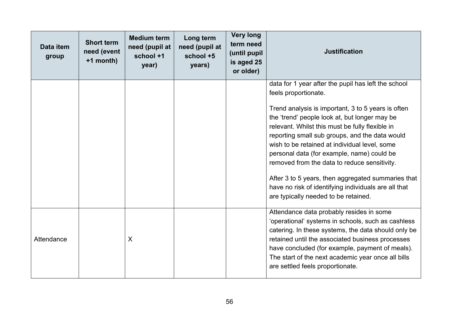| Data item<br>group | <b>Short term</b><br>need (event<br>$+1$ month) | <b>Medium term</b><br>need (pupil at<br>school +1<br>year) | Long term<br>need (pupil at<br>school +5<br>years) | <b>Very long</b><br>term need<br>(until pupil<br>is aged 25<br>or older) | <b>Justification</b>                                                                                                                                                                                                                                                                                                                                                                                                                                                                                                                                                                         |
|--------------------|-------------------------------------------------|------------------------------------------------------------|----------------------------------------------------|--------------------------------------------------------------------------|----------------------------------------------------------------------------------------------------------------------------------------------------------------------------------------------------------------------------------------------------------------------------------------------------------------------------------------------------------------------------------------------------------------------------------------------------------------------------------------------------------------------------------------------------------------------------------------------|
|                    |                                                 |                                                            |                                                    |                                                                          | data for 1 year after the pupil has left the school<br>feels proportionate.<br>Trend analysis is important, 3 to 5 years is often<br>the 'trend' people look at, but longer may be<br>relevant. Whilst this must be fully flexible in<br>reporting small sub groups, and the data would<br>wish to be retained at individual level, some<br>personal data (for example, name) could be<br>removed from the data to reduce sensitivity.<br>After 3 to 5 years, then aggregated summaries that<br>have no risk of identifying individuals are all that<br>are typically needed to be retained. |
| Attendance         |                                                 | X                                                          |                                                    |                                                                          | Attendance data probably resides in some<br>'operational' systems in schools, such as cashless<br>catering. In these systems, the data should only be<br>retained until the associated business processes<br>have concluded (for example, payment of meals).<br>The start of the next academic year once all bills<br>are settled feels proportionate.                                                                                                                                                                                                                                       |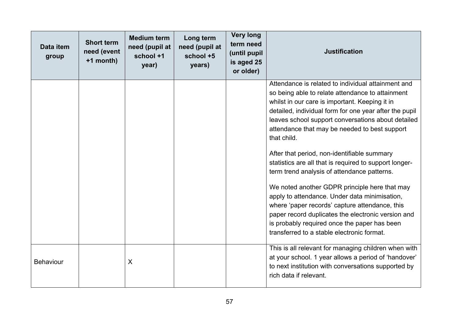| Data item<br>group | <b>Short term</b><br>need (event<br>+1 month) | <b>Medium term</b><br>need (pupil at<br>school +1<br>year) | Long term<br>need (pupil at<br>school +5<br>years) | <b>Very long</b><br>term need<br>(until pupil<br>is aged 25<br>or older) | <b>Justification</b>                                                                                                                                                                                                                                                                                                                                                                                                                                                                                                                                                                                                                                                                                                                                                                                     |
|--------------------|-----------------------------------------------|------------------------------------------------------------|----------------------------------------------------|--------------------------------------------------------------------------|----------------------------------------------------------------------------------------------------------------------------------------------------------------------------------------------------------------------------------------------------------------------------------------------------------------------------------------------------------------------------------------------------------------------------------------------------------------------------------------------------------------------------------------------------------------------------------------------------------------------------------------------------------------------------------------------------------------------------------------------------------------------------------------------------------|
|                    |                                               |                                                            |                                                    |                                                                          | Attendance is related to individual attainment and<br>so being able to relate attendance to attainment<br>whilst in our care is important. Keeping it in<br>detailed, individual form for one year after the pupil<br>leaves school support conversations about detailed<br>attendance that may be needed to best support<br>that child.<br>After that period, non-identifiable summary<br>statistics are all that is required to support longer-<br>term trend analysis of attendance patterns.<br>We noted another GDPR principle here that may<br>apply to attendance. Under data minimisation,<br>where 'paper records' capture attendance, this<br>paper record duplicates the electronic version and<br>is probably required once the paper has been<br>transferred to a stable electronic format. |
| <b>Behaviour</b>   |                                               | X                                                          |                                                    |                                                                          | This is all relevant for managing children when with<br>at your school. 1 year allows a period of 'handover'<br>to next institution with conversations supported by<br>rich data if relevant.                                                                                                                                                                                                                                                                                                                                                                                                                                                                                                                                                                                                            |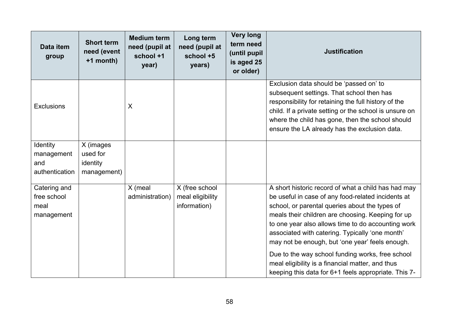| Data item<br>group                                | <b>Short term</b><br>need (event<br>+1 month)    | <b>Medium term</b><br>need (pupil at<br>school +1<br>year) | Long term<br>need (pupil at<br>school +5<br>years) | <b>Very long</b><br>term need<br>(until pupil)<br>is aged 25<br>or older) | <b>Justification</b>                                                                                                                                                                                                                                                                                                                                                         |
|---------------------------------------------------|--------------------------------------------------|------------------------------------------------------------|----------------------------------------------------|---------------------------------------------------------------------------|------------------------------------------------------------------------------------------------------------------------------------------------------------------------------------------------------------------------------------------------------------------------------------------------------------------------------------------------------------------------------|
| <b>Exclusions</b>                                 |                                                  | X                                                          |                                                    |                                                                           | Exclusion data should be 'passed on' to<br>subsequent settings. That school then has<br>responsibility for retaining the full history of the<br>child. If a private setting or the school is unsure on<br>where the child has gone, then the school should<br>ensure the LA already has the exclusion data.                                                                  |
| Identity<br>management<br>and<br>authentication   | X (images<br>used for<br>identity<br>management) |                                                            |                                                    |                                                                           |                                                                                                                                                                                                                                                                                                                                                                              |
| Catering and<br>free school<br>meal<br>management |                                                  | X (meal<br>administration)                                 | X (free school<br>meal eligibility<br>information) |                                                                           | A short historic record of what a child has had may<br>be useful in case of any food-related incidents at<br>school, or parental queries about the types of<br>meals their children are choosing. Keeping for up<br>to one year also allows time to do accounting work<br>associated with catering. Typically 'one month'<br>may not be enough, but 'one year' feels enough. |
|                                                   |                                                  |                                                            |                                                    |                                                                           | Due to the way school funding works, free school<br>meal eligibility is a financial matter, and thus<br>keeping this data for 6+1 feels appropriate. This 7-                                                                                                                                                                                                                 |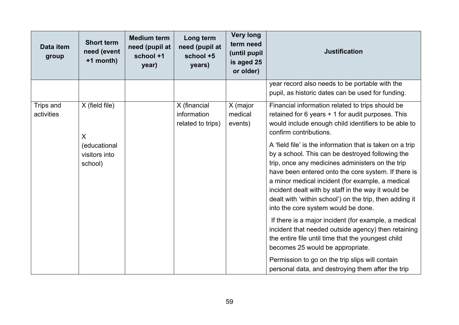| Data item<br>group             | <b>Short term</b><br>need (event<br>+1 month) | <b>Medium term</b><br>need (pupil at<br>school +1<br>year) | Long term<br>need (pupil at<br>school +5<br>years) | <b>Very long</b><br>term need<br>(until pupil<br>is aged 25<br>or older) | <b>Justification</b>                                                                                                                                                                                                                                                                                                                                                                                                                                                                          |
|--------------------------------|-----------------------------------------------|------------------------------------------------------------|----------------------------------------------------|--------------------------------------------------------------------------|-----------------------------------------------------------------------------------------------------------------------------------------------------------------------------------------------------------------------------------------------------------------------------------------------------------------------------------------------------------------------------------------------------------------------------------------------------------------------------------------------|
|                                |                                               |                                                            |                                                    |                                                                          | year record also needs to be portable with the<br>pupil, as historic dates can be used for funding.                                                                                                                                                                                                                                                                                                                                                                                           |
| <b>Trips and</b><br>activities | X (field file)<br>X                           |                                                            | X (financial<br>information<br>related to trips)   | X (major<br>medical<br>events)                                           | Financial information related to trips should be<br>retained for 6 years + 1 for audit purposes. This<br>would include enough child identifiers to be able to<br>confirm contributions.                                                                                                                                                                                                                                                                                                       |
|                                | (educational<br>visitors into<br>school)      |                                                            |                                                    |                                                                          | A 'field file' is the information that is taken on a trip<br>by a school. This can be destroyed following the<br>trip, once any medicines administers on the trip<br>have been entered onto the core system. If there is<br>a minor medical incident (for example, a medical<br>incident dealt with by staff in the way it would be<br>dealt with 'within school') on the trip, then adding it<br>into the core system would be done.<br>If there is a major incident (for example, a medical |
|                                |                                               |                                                            |                                                    |                                                                          | incident that needed outside agency) then retaining<br>the entire file until time that the youngest child<br>becomes 25 would be appropriate.<br>Permission to go on the trip slips will contain<br>personal data, and destroying them after the trip                                                                                                                                                                                                                                         |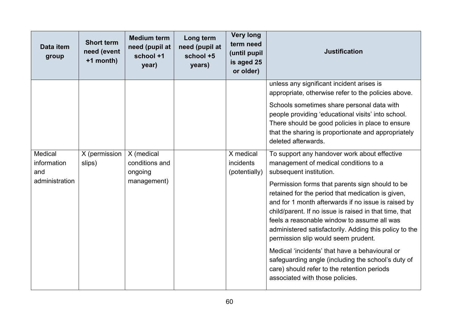| Data item<br>group                   | <b>Short term</b><br>need (event<br>+1 month) | <b>Medium term</b><br>need (pupil at<br>school +1<br>year) | Long term<br>need (pupil at<br>school +5<br>years) | <b>Very long</b><br>term need<br>(until pupil<br>is aged 25<br>or older) | <b>Justification</b>                                                                                                                                                                                                                                                                                                                                                  |
|--------------------------------------|-----------------------------------------------|------------------------------------------------------------|----------------------------------------------------|--------------------------------------------------------------------------|-----------------------------------------------------------------------------------------------------------------------------------------------------------------------------------------------------------------------------------------------------------------------------------------------------------------------------------------------------------------------|
|                                      |                                               |                                                            |                                                    |                                                                          | unless any significant incident arises is<br>appropriate, otherwise refer to the policies above.                                                                                                                                                                                                                                                                      |
|                                      |                                               |                                                            |                                                    |                                                                          | Schools sometimes share personal data with<br>people providing 'educational visits' into school.<br>There should be good policies in place to ensure<br>that the sharing is proportionate and appropriately<br>deleted afterwards.                                                                                                                                    |
| <b>Medical</b><br>information<br>and | X (permission<br>slips)                       | X (medical<br>conditions and<br>ongoing                    |                                                    | X medical<br>incidents<br>(potentially)                                  | To support any handover work about effective<br>management of medical conditions to a<br>subsequent institution.                                                                                                                                                                                                                                                      |
| administration                       |                                               | management)                                                |                                                    |                                                                          | Permission forms that parents sign should to be<br>retained for the period that medication is given,<br>and for 1 month afterwards if no issue is raised by<br>child/parent. If no issue is raised in that time, that<br>feels a reasonable window to assume all was<br>administered satisfactorily. Adding this policy to the<br>permission slip would seem prudent. |
|                                      |                                               |                                                            |                                                    |                                                                          | Medical 'incidents' that have a behavioural or<br>safeguarding angle (including the school's duty of<br>care) should refer to the retention periods<br>associated with those policies.                                                                                                                                                                                |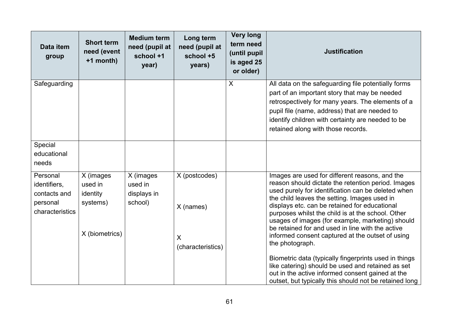| Data item<br>group                                                      | <b>Short term</b><br>need (event<br>+1 month)                  | <b>Medium term</b><br>need (pupil at<br>school +1<br>year) | Long term<br>need (pupil at<br>school +5<br>years)   | <b>Very long</b><br>term need<br>(until pupil<br>is aged 25<br>or older) | <b>Justification</b>                                                                                                                                                                                                                                                                                                                                                                                                                                                                            |
|-------------------------------------------------------------------------|----------------------------------------------------------------|------------------------------------------------------------|------------------------------------------------------|--------------------------------------------------------------------------|-------------------------------------------------------------------------------------------------------------------------------------------------------------------------------------------------------------------------------------------------------------------------------------------------------------------------------------------------------------------------------------------------------------------------------------------------------------------------------------------------|
| Safeguarding                                                            |                                                                |                                                            |                                                      | $\boldsymbol{\mathsf{X}}$                                                | All data on the safeguarding file potentially forms<br>part of an important story that may be needed<br>retrospectively for many years. The elements of a<br>pupil file (name, address) that are needed to<br>identify children with certainty are needed to be<br>retained along with those records.                                                                                                                                                                                           |
| Special<br>educational<br>needs                                         |                                                                |                                                            |                                                      |                                                                          |                                                                                                                                                                                                                                                                                                                                                                                                                                                                                                 |
| Personal<br>identifiers,<br>contacts and<br>personal<br>characteristics | X (images<br>used in<br>identity<br>systems)<br>X (biometrics) | X (images<br>used in<br>displays in<br>school)             | X (postcodes)<br>X (names)<br>X<br>(characteristics) |                                                                          | Images are used for different reasons, and the<br>reason should dictate the retention period. Images<br>used purely for identification can be deleted when<br>the child leaves the setting. Images used in<br>displays etc. can be retained for educational<br>purposes whilst the child is at the school. Other<br>usages of images (for example, marketing) should<br>be retained for and used in line with the active<br>informed consent captured at the outset of using<br>the photograph. |
|                                                                         |                                                                |                                                            |                                                      |                                                                          | Biometric data (typically fingerprints used in things<br>like catering) should be used and retained as set<br>out in the active informed consent gained at the<br>outset, but typically this should not be retained long                                                                                                                                                                                                                                                                        |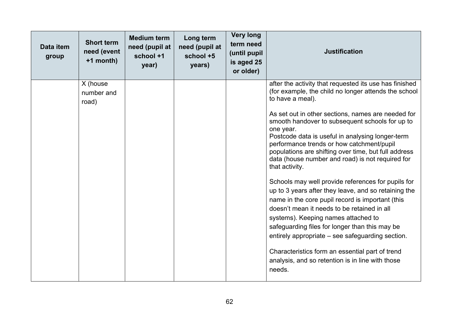| Data item<br>group | <b>Short term</b><br>need (event<br>+1 month) | <b>Medium term</b><br>need (pupil at<br>school +1<br>year) | Long term<br>need (pupil at<br>school +5<br>years) | <b>Very long</b><br>term need<br>(until pupil<br>is aged 25<br>or older) | <b>Justification</b>                                                                                                                                                                                                                                                                                                                                                                                          |
|--------------------|-----------------------------------------------|------------------------------------------------------------|----------------------------------------------------|--------------------------------------------------------------------------|---------------------------------------------------------------------------------------------------------------------------------------------------------------------------------------------------------------------------------------------------------------------------------------------------------------------------------------------------------------------------------------------------------------|
|                    | X (house<br>number and<br>road)               |                                                            |                                                    |                                                                          | after the activity that requested its use has finished<br>(for example, the child no longer attends the school<br>to have a meal).                                                                                                                                                                                                                                                                            |
|                    |                                               |                                                            |                                                    |                                                                          | As set out in other sections, names are needed for<br>smooth handover to subsequent schools for up to<br>one year.<br>Postcode data is useful in analysing longer-term<br>performance trends or how catchment/pupil<br>populations are shifting over time, but full address<br>data (house number and road) is not required for<br>that activity.                                                             |
|                    |                                               |                                                            |                                                    |                                                                          | Schools may well provide references for pupils for<br>up to 3 years after they leave, and so retaining the<br>name in the core pupil record is important (this<br>doesn't mean it needs to be retained in all<br>systems). Keeping names attached to<br>safeguarding files for longer than this may be<br>entirely appropriate - see safeguarding section.<br>Characteristics form an essential part of trend |
|                    |                                               |                                                            |                                                    |                                                                          | analysis, and so retention is in line with those<br>needs.                                                                                                                                                                                                                                                                                                                                                    |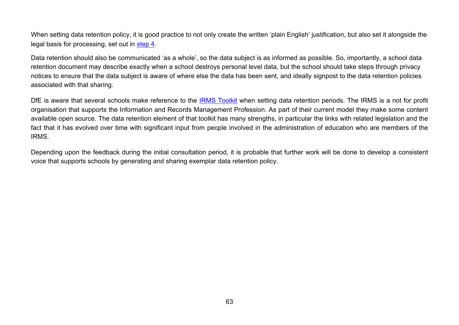When setting data retention policy, it is good practice to not only create the written 'plain English' justification, but also set it alongside the legal basis for processing, set out in [step 4.](#page-17-1)

Data retention should also be communicated 'as a whole', so the data subject is as informed as possible. So, importantly, a school data retention document may describe exactly when a school destroys personal level data, but the school should take steps through privacy notices to ensure that the data subject is aware of where else the data has been sent, and ideally signpost to the data retention policies associated with that sharing.

DfE is aware that several schools make reference to the **IRMS Toolkit** when setting data retention periods. The IRMS is a not for profit organisation that supports the Information and Records Management Profession. As part of their current model they make some content available open source. The data retention element of that toolkit has many strengths, in particular the links with related legislation and the fact that it has evolved over time with significant input from people involved in the administration of education who are members of the IRMS.

<span id="page-62-0"></span>Depending upon the feedback during the initial consultation period, it is probable that further work will be done to develop a consistent voice that supports schools by generating and sharing exemplar data retention policy.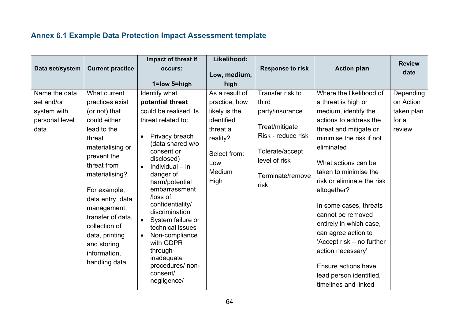# **Annex 6.1 Example Data Protection Impact Assessment template**

<span id="page-63-0"></span>

|                                                                      |                                                                                                                                                                                                                                                                                                                          | Impact of threat if                                                                                                                                                                                                                                                                                                                                                                                                                                 | Likelihood:                                                                                                                     |                                                                                                                                                      |                                                                                                                                                                                                                                                                                                                                                                                                                                                                                                | <b>Review</b>                                           |
|----------------------------------------------------------------------|--------------------------------------------------------------------------------------------------------------------------------------------------------------------------------------------------------------------------------------------------------------------------------------------------------------------------|-----------------------------------------------------------------------------------------------------------------------------------------------------------------------------------------------------------------------------------------------------------------------------------------------------------------------------------------------------------------------------------------------------------------------------------------------------|---------------------------------------------------------------------------------------------------------------------------------|------------------------------------------------------------------------------------------------------------------------------------------------------|------------------------------------------------------------------------------------------------------------------------------------------------------------------------------------------------------------------------------------------------------------------------------------------------------------------------------------------------------------------------------------------------------------------------------------------------------------------------------------------------|---------------------------------------------------------|
| Data set/system                                                      | <b>Current practice</b>                                                                                                                                                                                                                                                                                                  | occurs:                                                                                                                                                                                                                                                                                                                                                                                                                                             | Low, medium,                                                                                                                    | <b>Response to risk</b>                                                                                                                              | <b>Action plan</b>                                                                                                                                                                                                                                                                                                                                                                                                                                                                             | date                                                    |
|                                                                      |                                                                                                                                                                                                                                                                                                                          | $1 = low 5 = high$                                                                                                                                                                                                                                                                                                                                                                                                                                  | high                                                                                                                            |                                                                                                                                                      |                                                                                                                                                                                                                                                                                                                                                                                                                                                                                                |                                                         |
| Name the data<br>set and/or<br>system with<br>personal level<br>data | What current<br>practices exist<br>(or not) that<br>could either<br>lead to the<br>threat<br>materialising or<br>prevent the<br>threat from<br>materialising?<br>For example,<br>data entry, data<br>management,<br>transfer of data,<br>collection of<br>data, printing<br>and storing<br>information,<br>handling data | Identify what<br>potential threat<br>could be realised. Is<br>threat related to:<br>Privacy breach<br>(data shared w/o<br>consent or<br>disclosed)<br>Individual $-$ in<br>$\bullet$<br>danger of<br>harm/potential<br>embarrassment<br>/loss of<br>confidentiality/<br>discrimination<br>System failure or<br>technical issues<br>Non-compliance<br>$\bullet$<br>with GDPR<br>through<br>inadequate<br>procedures/ non-<br>consent/<br>negligence/ | As a result of<br>practice, how<br>likely is the<br>identified<br>threat a<br>reality?<br>Select from:<br>Low<br>Medium<br>High | Transfer risk to<br>third<br>party/insurance<br>Treat/mitigate<br>Risk - reduce risk<br>Tolerate/accept<br>level of risk<br>Terminate/remove<br>risk | Where the likelihood of<br>a threat is high or<br>medium, identify the<br>actions to address the<br>threat and mitigate or<br>minimise the risk if not<br>eliminated<br>What actions can be<br>taken to minimise the<br>risk or eliminate the risk<br>altogether?<br>In some cases, threats<br>cannot be removed<br>entirely in which case,<br>can agree action to<br>'Accept risk – no further<br>action necessary'<br>Ensure actions have<br>lead person identified,<br>timelines and linked | Depending<br>on Action<br>taken plan<br>for a<br>review |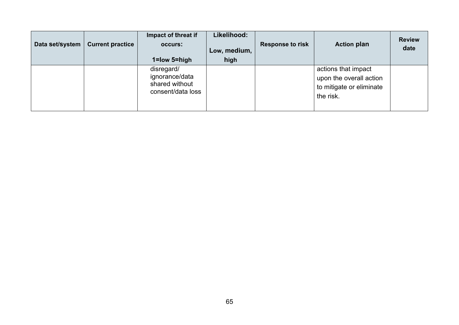| Data set/system | <b>Current practice</b> | Impact of threat if<br>occurs:<br>$1 = low 5 = high$                | Likelihood:<br>Low, medium,<br>high | <b>Response to risk</b> | <b>Action plan</b>                                                                      | <b>Review</b><br>date |
|-----------------|-------------------------|---------------------------------------------------------------------|-------------------------------------|-------------------------|-----------------------------------------------------------------------------------------|-----------------------|
|                 |                         | disregard/<br>ignorance/data<br>shared without<br>consent/data loss |                                     |                         | actions that impact<br>upon the overall action<br>to mitigate or eliminate<br>the risk. |                       |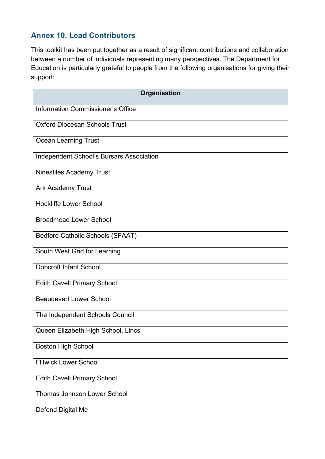## <span id="page-65-0"></span>**Annex 10. Lead Contributors**

This toolkit has been put together as a result of significant contributions and collaboration between a number of individuals representing many perspectives. The Department for Education is particularly grateful to people from the following organisations for giving their support:

| Organisation                                    |
|-------------------------------------------------|
| <b>Information Commissioner's Office</b>        |
| <b>Oxford Diocesan Schools Trust</b>            |
| <b>Ocean Learning Trust</b>                     |
| <b>Independent School's Bursars Association</b> |
| <b>Ninestiles Academy Trust</b>                 |
| Ark Academy Trust                               |
| <b>Hockliffe Lower School</b>                   |
| <b>Broadmead Lower School</b>                   |
| <b>Bedford Catholic Schools (SFAAT)</b>         |
| South West Grid for Learning                    |
| <b>Dobcroft Infant School</b>                   |
| <b>Edith Cavell Primary School</b>              |
| <b>Beaudesert Lower School</b>                  |
| The Independent Schools Council                 |
| Queen Elizabeth High School, Lincs              |
| <b>Boston High School</b>                       |
| <b>Flitwick Lower School</b>                    |
| <b>Edith Cavell Primary School</b>              |
| <b>Thomas Johnson Lower School</b>              |
| Defend Digital Me                               |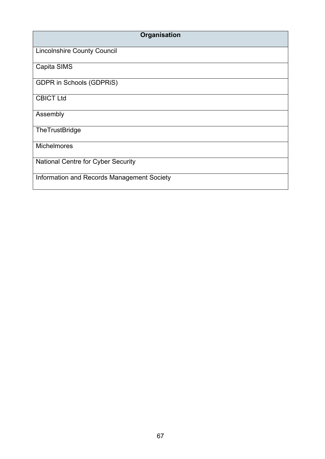| Organisation                               |
|--------------------------------------------|
| <b>Lincolnshire County Council</b>         |
| Capita SIMS                                |
| <b>GDPR in Schools (GDPRiS)</b>            |
| <b>CBICT Ltd</b>                           |
| Assembly                                   |
| TheTrustBridge                             |
| <b>Michelmores</b>                         |
| <b>National Centre for Cyber Security</b>  |
| Information and Records Management Society |